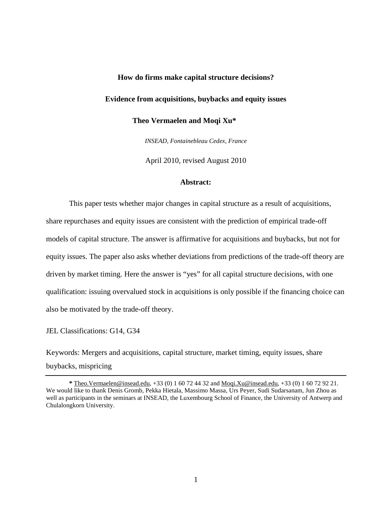### **How do firms make capital structure decisions?**

## **Evidence from acquisitions, buybacks and equity issues**

 **Theo Vermaelen and Moqi Xu\*** 

*INSEAD, Fontainebleau Cedex, France*

April 2010, revised August 2010

#### **Abstract:**

This paper tests whether major changes in capital structure as a result of acquisitions, share repurchases and equity issues are consistent with the prediction of empirical trade-off models of capital structure. The answer is affirmative for acquisitions and buybacks, but not for equity issues. The paper also asks whether deviations from predictions of the trade-off theory are driven by market timing. Here the answer is "yes" for all capital structure decisions, with one qualification: issuing overvalued stock in acquisitions is only possible if the financing choice can also be motivated by the trade-off theory.

#### JEL Classifications: G14, G34

Keywords: Mergers and acquisitions, capital structure, market timing, equity issues, share buybacks, mispricing

**<sup>\*</sup>** Theo.Vermaelen@insead.edu, +33 (0) 1 60 72 44 32 and Moqi.Xu@insead.edu, +33 (0) 1 60 72 92 21. We would like to thank Denis Gromb, Pekka Hietala, Massimo Massa, Urs Peyer, Sudi Sudarsanam, Jun Zhou as well as participants in the seminars at INSEAD, the Luxembourg School of Finance, the University of Antwerp and Chulalongkorn University.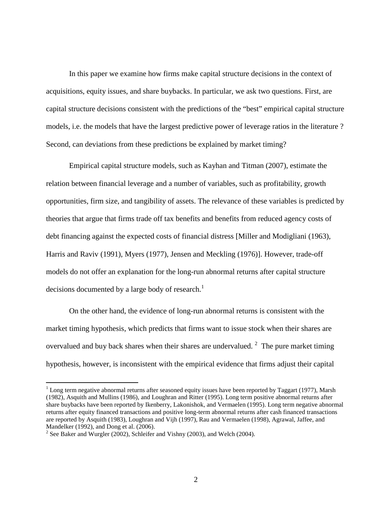In this paper we examine how firms make capital structure decisions in the context of acquisitions, equity issues, and share buybacks. In particular, we ask two questions. First, are capital structure decisions consistent with the predictions of the "best" empirical capital structure models, i.e. the models that have the largest predictive power of leverage ratios in the literature ? Second, can deviations from these predictions be explained by market timing?

Empirical capital structure models, such as Kayhan and Titman (2007), estimate the relation between financial leverage and a number of variables, such as profitability, growth opportunities, firm size, and tangibility of assets. The relevance of these variables is predicted by theories that argue that firms trade off tax benefits and benefits from reduced agency costs of debt financing against the expected costs of financial distress [Miller and Modigliani (1963), Harris and Raviv (1991), Myers (1977), Jensen and Meckling (1976)]. However, trade-off models do not offer an explanation for the long-run abnormal returns after capital structure decisions documented by a large body of research.<sup>1</sup>

On the other hand, the evidence of long-run abnormal returns is consistent with the market timing hypothesis, which predicts that firms want to issue stock when their shares are overvalued and buy back shares when their shares are undervalued.<sup>2</sup> The pure market timing hypothesis, however, is inconsistent with the empirical evidence that firms adjust their capital

<u>.</u>

 $1$  Long term negative abnormal returns after seasoned equity issues have been reported by Taggart (1977), Marsh (1982), Asquith and Mullins (1986), and Loughran and Ritter (1995). Long term positive abnormal returns after share buybacks have been reported by Ikenberry, Lakonishok, and Vermaelen (1995). Long term negative abnormal returns after equity financed transactions and positive long-term abnormal returns after cash financed transactions are reported by Asquith (1983), Loughran and Vijh (1997), Rau and Vermaelen (1998), Agrawal, Jaffee, and Mandelker (1992), and Dong et al. (2006).

 $2^{2}$  See Baker and Wurgler (2002), Schleifer and Vishny (2003), and Welch (2004).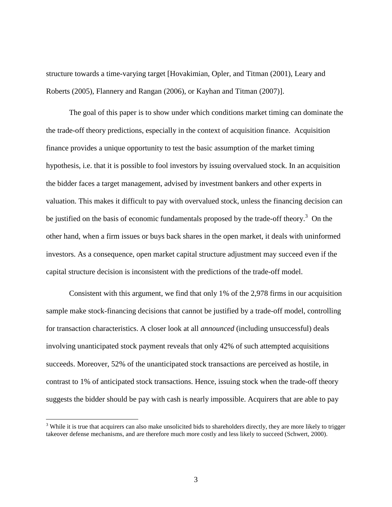structure towards a time-varying target [Hovakimian, Opler, and Titman (2001), Leary and Roberts (2005), Flannery and Rangan (2006), or Kayhan and Titman (2007)].

The goal of this paper is to show under which conditions market timing can dominate the the trade-off theory predictions, especially in the context of acquisition finance. Acquisition finance provides a unique opportunity to test the basic assumption of the market timing hypothesis, i.e. that it is possible to fool investors by issuing overvalued stock. In an acquisition the bidder faces a target management, advised by investment bankers and other experts in valuation. This makes it difficult to pay with overvalued stock, unless the financing decision can be justified on the basis of economic fundamentals proposed by the trade-off theory.<sup>3</sup> On the other hand, when a firm issues or buys back shares in the open market, it deals with uninformed investors. As a consequence, open market capital structure adjustment may succeed even if the capital structure decision is inconsistent with the predictions of the trade-off model.

Consistent with this argument, we find that only 1% of the 2,978 firms in our acquisition sample make stock-financing decisions that cannot be justified by a trade-off model, controlling for transaction characteristics. A closer look at all *announced* (including unsuccessful) deals involving unanticipated stock payment reveals that only 42% of such attempted acquisitions succeeds. Moreover, 52% of the unanticipated stock transactions are perceived as hostile, in contrast to 1% of anticipated stock transactions. Hence, issuing stock when the trade-off theory suggests the bidder should be pay with cash is nearly impossible. Acquirers that are able to pay

<u>.</u>

 $3$  While it is true that acquirers can also make unsolicited bids to shareholders directly, they are more likely to trigger takeover defense mechanisms, and are therefore much more costly and less likely to succeed (Schwert, 2000).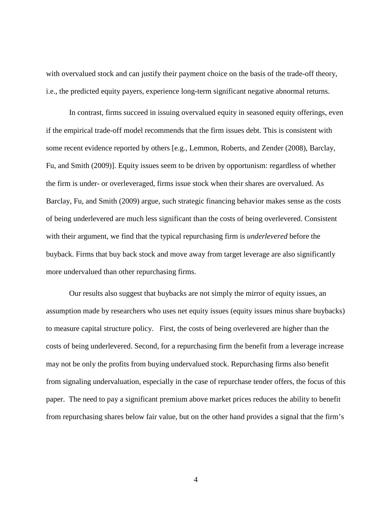with overvalued stock and can justify their payment choice on the basis of the trade-off theory, i.e., the predicted equity payers, experience long-term significant negative abnormal returns.

In contrast, firms succeed in issuing overvalued equity in seasoned equity offerings, even if the empirical trade-off model recommends that the firm issues debt. This is consistent with some recent evidence reported by others [e.g., Lemmon, Roberts, and Zender (2008), Barclay, Fu, and Smith (2009)]. Equity issues seem to be driven by opportunism: regardless of whether the firm is under- or overleveraged, firms issue stock when their shares are overvalued. As Barclay, Fu, and Smith (2009) argue, such strategic financing behavior makes sense as the costs of being underlevered are much less significant than the costs of being overlevered. Consistent with their argument, we find that the typical repurchasing firm is *underlevered* before the buyback. Firms that buy back stock and move away from target leverage are also significantly more undervalued than other repurchasing firms.

Our results also suggest that buybacks are not simply the mirror of equity issues, an assumption made by researchers who uses net equity issues (equity issues minus share buybacks) to measure capital structure policy. First, the costs of being overlevered are higher than the costs of being underlevered. Second, for a repurchasing firm the benefit from a leverage increase may not be only the profits from buying undervalued stock. Repurchasing firms also benefit from signaling undervaluation, especially in the case of repurchase tender offers, the focus of this paper. The need to pay a significant premium above market prices reduces the ability to benefit from repurchasing shares below fair value, but on the other hand provides a signal that the firm's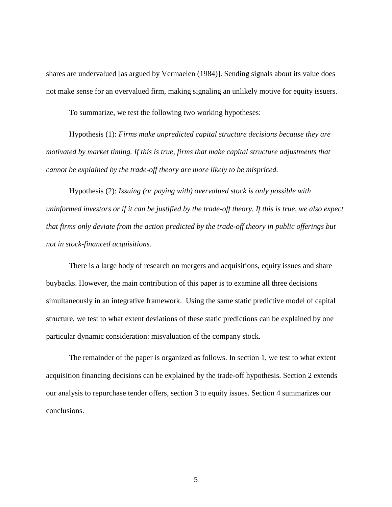shares are undervalued [as argued by Vermaelen (1984)]. Sending signals about its value does not make sense for an overvalued firm, making signaling an unlikely motive for equity issuers.

To summarize, we test the following two working hypotheses:

Hypothesis (1): *Firms make unpredicted capital structure decisions because they are motivated by market timing. If this is true, firms that make capital structure adjustments that cannot be explained by the trade-off theory are more likely to be mispriced.*

Hypothesis (2): *Issuing (or paying with) overvalued stock is only possible with uninformed investors or if it can be justified by the trade-off theory. If this is true, we also expect that firms only deviate from the action predicted by the trade-off theory in public offerings but not in stock-financed acquisitions.*

There is a large body of research on mergers and acquisitions, equity issues and share buybacks. However, the main contribution of this paper is to examine all three decisions simultaneously in an integrative framework. Using the same static predictive model of capital structure, we test to what extent deviations of these static predictions can be explained by one particular dynamic consideration: misvaluation of the company stock.

The remainder of the paper is organized as follows. In section 1, we test to what extent acquisition financing decisions can be explained by the trade-off hypothesis. Section 2 extends our analysis to repurchase tender offers, section 3 to equity issues. Section 4 summarizes our conclusions.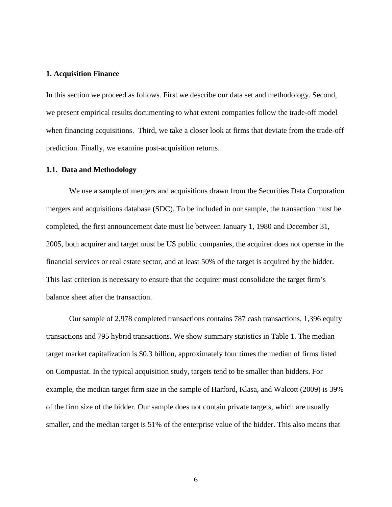#### **1. Acquisition Finance**

In this section we proceed as follows. First we describe our data set and methodology. Second, we present empirical results documenting to what extent companies follow the trade-off model when financing acquisitions. Third, we take a closer look at firms that deviate from the trade-off prediction. Finally, we examine post-acquisition returns.

#### **1.1. Data and Methodology**

We use a sample of mergers and acquisitions drawn from the Securities Data Corporation mergers and acquisitions database (SDC). To be included in our sample, the transaction must be completed, the first announcement date must lie between January 1, 1980 and December 31, 2005, both acquirer and target must be US public companies, the acquirer does not operate in the financial services or real estate sector, and at least 50% of the target is acquired by the bidder. This last criterion is necessary to ensure that the acquirer must consolidate the target firm's balance sheet after the transaction.

 Our sample of 2,978 completed transactions contains 787 cash transactions, 1,396 equity transactions and 795 hybrid transactions. We show summary statistics in Table 1. The median target market capitalization is \$0.3 billion, approximately four times the median of firms listed on Compustat. In the typical acquisition study, targets tend to be smaller than bidders. For example, the median target firm size in the sample of Harford, Klasa, and Walcott (2009) is 39% of the firm size of the bidder. Our sample does not contain private targets, which are usually smaller, and the median target is 51% of the enterprise value of the bidder. This also means that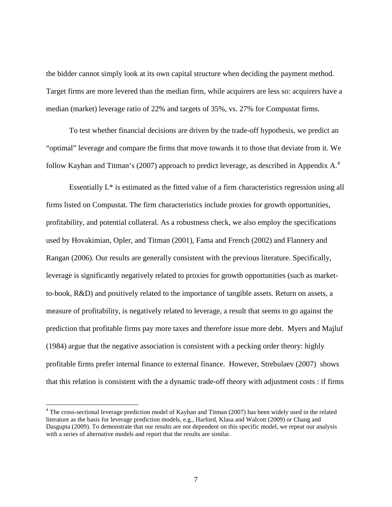the bidder cannot simply look at its own capital structure when deciding the payment method. Target firms are more levered than the median firm, while acquirers are less so: acquirers have a median (market) leverage ratio of 22% and targets of 35%, vs. 27% for Compustat firms.

To test whether financial decisions are driven by the trade-off hypothesis, we predict an "optimal" leverage and compare the firms that move towards it to those that deviate from it. We follow Kayhan and Titman's (2007) approach to predict leverage, as described in Appendix A.<sup>4</sup>

Essentially L\* is estimated as the fitted value of a firm characteristics regression using all firms listed on Compustat. The firm characteristics include proxies for growth opportunities, profitability, and potential collateral. As a robustness check, we also employ the specifications used by Hovakimian, Opler, and Titman (2001), Fama and French (2002) and Flannery and Rangan (2006). Our results are generally consistent with the previous literature. Specifically, leverage is significantly negatively related to proxies for growth opportunities (such as marketto-book, R&D) and positively related to the importance of tangible assets. Return on assets, a measure of profitability, is negatively related to leverage, a result that seems to go against the prediction that profitable firms pay more taxes and therefore issue more debt. Myers and Majluf (1984) argue that the negative association is consistent with a pecking order theory: highly profitable firms prefer internal finance to external finance. However, Strebulaev (2007) shows that this relation is consistent with the a dynamic trade-off theory with adjustment costs : if firms

<u>.</u>

<sup>&</sup>lt;sup>4</sup> The cross-sectional leverage prediction model of Kayhan and Titman (2007) has been widely used in the related literature as the basis for leverage prediction models, e.g., Harford, Klasa and Walcott (2009) or Chang and Dasgupta (2009). To demonstrate that our results are not dependent on this specific model, we repeat our analysis with a series of alternative models and report that the results are similar.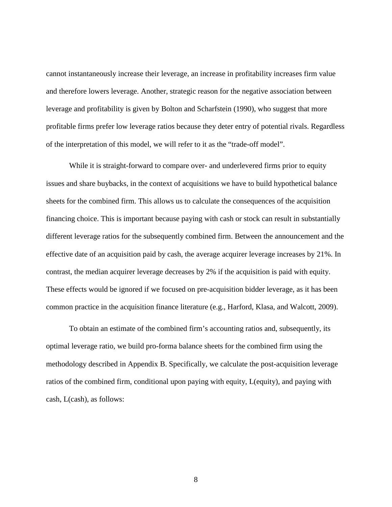cannot instantaneously increase their leverage, an increase in profitability increases firm value and therefore lowers leverage. Another, strategic reason for the negative association between leverage and profitability is given by Bolton and Scharfstein (1990), who suggest that more profitable firms prefer low leverage ratios because they deter entry of potential rivals. Regardless of the interpretation of this model, we will refer to it as the "trade-off model".

While it is straight-forward to compare over- and underlevered firms prior to equity issues and share buybacks, in the context of acquisitions we have to build hypothetical balance sheets for the combined firm. This allows us to calculate the consequences of the acquisition financing choice. This is important because paying with cash or stock can result in substantially different leverage ratios for the subsequently combined firm. Between the announcement and the effective date of an acquisition paid by cash, the average acquirer leverage increases by 21%. In contrast, the median acquirer leverage decreases by 2% if the acquisition is paid with equity. These effects would be ignored if we focused on pre-acquisition bidder leverage, as it has been common practice in the acquisition finance literature (e.g., Harford, Klasa, and Walcott, 2009).

To obtain an estimate of the combined firm's accounting ratios and, subsequently, its optimal leverage ratio, we build pro-forma balance sheets for the combined firm using the methodology described in Appendix B. Specifically, we calculate the post-acquisition leverage ratios of the combined firm, conditional upon paying with equity, L(equity), and paying with cash, L(cash), as follows: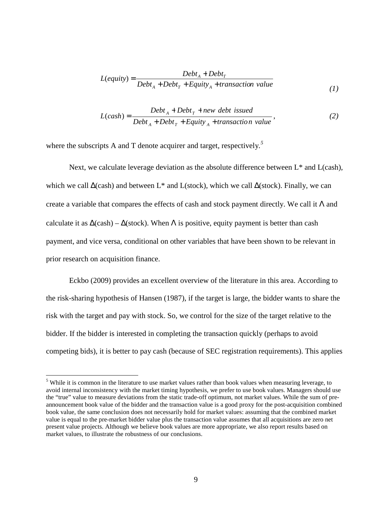$$
L(equiv) = \frac{Debt_A + Debt_T}{Debt_A + Debt_T + Equity_A + transaction value}
$$
 (1)

$$
L(cash) = \frac{Debt_A + Debt_T + new\ debt\ issued}{Debt_A + Debt_T + Equity_A + transaction\ value},\tag{2}
$$

where the subscripts A and T denote acquirer and target, respectively*. 5*

Next, we calculate leverage deviation as the absolute difference between  $L^*$  and  $L(cash)$ , which we call ∆(cash) and between L\* and L(stock), which we call ∆(stock). Finally, we can create a variable that compares the effects of cash and stock payment directly. We call it  $\Lambda$  and calculate it as  $\Delta(\cosh) - \Delta(\rm stock)$ . When  $\Lambda$  is positive, equity payment is better than cash payment, and vice versa, conditional on other variables that have been shown to be relevant in prior research on acquisition finance.

Eckbo (2009) provides an excellent overview of the literature in this area. According to the risk-sharing hypothesis of Hansen (1987), if the target is large, the bidder wants to share the risk with the target and pay with stock. So, we control for the size of the target relative to the bidder. If the bidder is interested in completing the transaction quickly (perhaps to avoid competing bids), it is better to pay cash (because of SEC registration requirements). This applies

<sup>&</sup>lt;sup>5</sup> While it is common in the literature to use market values rather than book values when measuring leverage, to <sup>5</sup> avoid internal inconsistency with the market timing hypothesis, we prefer to use book values. Managers should use the "true" value to measure deviations from the static trade-off optimum, not market values. While the sum of preannouncement book value of the bidder and the transaction value is a good proxy for the post-acquisition combined book value, the same conclusion does not necessarily hold for market values: assuming that the combined market value is equal to the pre-market bidder value plus the transaction value assumes that all acquisitions are zero net present value projects. Although we believe book values are more appropriate, we also report results based on market values, to illustrate the robustness of our conclusions.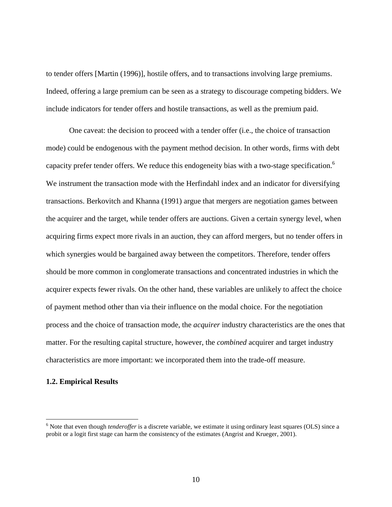to tender offers [Martin (1996)], hostile offers, and to transactions involving large premiums. Indeed, offering a large premium can be seen as a strategy to discourage competing bidders. We include indicators for tender offers and hostile transactions, as well as the premium paid.

One caveat: the decision to proceed with a tender offer (i.e., the choice of transaction mode) could be endogenous with the payment method decision. In other words, firms with debt capacity prefer tender offers. We reduce this endogeneity bias with a two-stage specification.<sup>6</sup> We instrument the transaction mode with the Herfindahl index and an indicator for diversifying transactions. Berkovitch and Khanna (1991) argue that mergers are negotiation games between the acquirer and the target, while tender offers are auctions. Given a certain synergy level, when acquiring firms expect more rivals in an auction, they can afford mergers, but no tender offers in which synergies would be bargained away between the competitors. Therefore, tender offers should be more common in conglomerate transactions and concentrated industries in which the acquirer expects fewer rivals. On the other hand, these variables are unlikely to affect the choice of payment method other than via their influence on the modal choice. For the negotiation process and the choice of transaction mode, the *acquirer* industry characteristics are the ones that matter. For the resulting capital structure, however, the *combined* acquirer and target industry characteristics are more important: we incorporated them into the trade-off measure.

## **1.2. Empirical Results**

<u>.</u>

<sup>&</sup>lt;sup>6</sup> Note that even though *tenderoffer* is a discrete variable, we estimate it using ordinary least squares (OLS) since a probit or a logit first stage can harm the consistency of the estimates (Angrist and Krueger, 2001).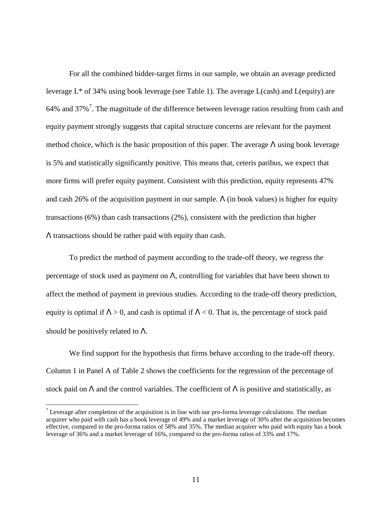For all the combined bidder-target firms in our sample, we obtain an average predicted leverage L\* of 34% using book leverage (see Table 1). The average L(cash) and L(equity) are 64% and 37%<sup>7</sup>. The magnitude of the difference between leverage ratios resulting from cash and equity payment strongly suggests that capital structure concerns are relevant for the payment method choice, which is the basic proposition of this paper. The average  $\Lambda$  using book leverage is 5% and statistically significantly positive. This means that, ceteris paribus, we expect that more firms will prefer equity payment. Consistent with this prediction, equity represents 47% and cash 26% of the acquisition payment in our sample.  $\Lambda$  (in book values) is higher for equity transactions (6%) than cash transactions (2%), consistent with the prediction that higher Λ transactions should be rather paid with equity than cash.

To predict the method of payment according to the trade-off theory, we regress the percentage of stock used as payment on  $\Lambda$ , controlling for variables that have been shown to affect the method of payment in previous studies. According to the trade-off theory prediction, equity is optimal if  $\Lambda > 0$ , and cash is optimal if  $\Lambda < 0$ . That is, the percentage of stock paid should be positively related to  $\Lambda$ .

We find support for the hypothesis that firms behave according to the trade-off theory. Column 1 in Panel A of Table 2 shows the coefficients for the regression of the percentage of stock paid on  $\Lambda$  and the control variables. The coefficient of  $\Lambda$  is positive and statistically, as

 $\overline{a}$ 

<sup>&</sup>lt;sup>7</sup> Leverage after completion of the acquisition is in line with our pro-forma leverage calculations. The median acquirer who paid with cash has a book leverage of 49% and a market leverage of 30% after the acquisition becomes effective, compared to the pro-forma ratios of 58% and 35%. The median acquirer who paid with equity has a book leverage of 36% and a market leverage of 16%, compared to the pro-forma ratios of 33% and 17%.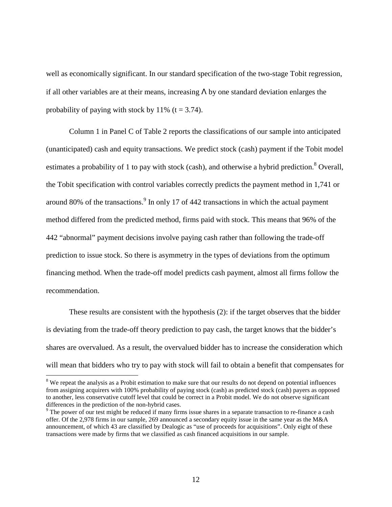well as economically significant. In our standard specification of the two-stage Tobit regression, if all other variables are at their means, increasing  $\Lambda$  by one standard deviation enlarges the probability of paying with stock by  $11\%$  (t = 3.74).

Column 1 in Panel C of Table 2 reports the classifications of our sample into anticipated (unanticipated) cash and equity transactions. We predict stock (cash) payment if the Tobit model estimates a probability of 1 to pay with stock (cash), and otherwise a hybrid prediction.<sup>8</sup> Overall, the Tobit specification with control variables correctly predicts the payment method in 1,741 or around 80% of the transactions. $9 \text{ In only 17}$  of 442 transactions in which the actual payment method differed from the predicted method, firms paid with stock. This means that 96% of the 442 "abnormal" payment decisions involve paying cash rather than following the trade-off prediction to issue stock. So there is asymmetry in the types of deviations from the optimum financing method. When the trade-off model predicts cash payment, almost all firms follow the recommendation.

These results are consistent with the hypothesis (2): if the target observes that the bidder is deviating from the trade-off theory prediction to pay cash, the target knows that the bidder's shares are overvalued. As a result, the overvalued bidder has to increase the consideration which will mean that bidders who try to pay with stock will fail to obtain a benefit that compensates for

<sup>&</sup>lt;sup>8</sup> We repeat the analysis as a Probit estimation to make sure that our results do not depend on potential influences from assigning acquirers with 100% probability of paying stock (cash) as predicted stock (cash) payers as opposed to another, less conservative cutoff level that could be correct in a Probit model. We do not observe significant differences in the prediction of the non-hybrid cases.

<sup>&</sup>lt;sup>9</sup> The power of our test might be reduced if many firms issue shares in a separate transaction to re-finance a cash offer. Of the 2,978 firms in our sample, 269 announced a secondary equity issue in the same year as the M&A announcement, of which 43 are classified by Dealogic as "use of proceeds for acquisitions". Only eight of these transactions were made by firms that we classified as cash financed acquisitions in our sample.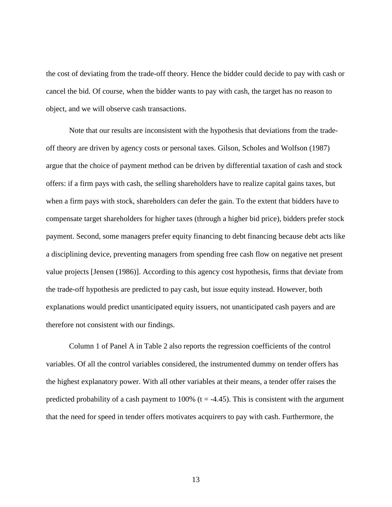the cost of deviating from the trade-off theory. Hence the bidder could decide to pay with cash or cancel the bid. Of course, when the bidder wants to pay with cash, the target has no reason to object, and we will observe cash transactions.

Note that our results are inconsistent with the hypothesis that deviations from the tradeoff theory are driven by agency costs or personal taxes. Gilson, Scholes and Wolfson (1987) argue that the choice of payment method can be driven by differential taxation of cash and stock offers: if a firm pays with cash, the selling shareholders have to realize capital gains taxes, but when a firm pays with stock, shareholders can defer the gain. To the extent that bidders have to compensate target shareholders for higher taxes (through a higher bid price), bidders prefer stock payment. Second, some managers prefer equity financing to debt financing because debt acts like a disciplining device, preventing managers from spending free cash flow on negative net present value projects [Jensen (1986)]. According to this agency cost hypothesis, firms that deviate from the trade-off hypothesis are predicted to pay cash, but issue equity instead. However, both explanations would predict unanticipated equity issuers, not unanticipated cash payers and are therefore not consistent with our findings.

Column 1 of Panel A in Table 2 also reports the regression coefficients of the control variables. Of all the control variables considered, the instrumented dummy on tender offers has the highest explanatory power. With all other variables at their means, a tender offer raises the predicted probability of a cash payment to 100% ( $t = -4.45$ ). This is consistent with the argument that the need for speed in tender offers motivates acquirers to pay with cash. Furthermore, the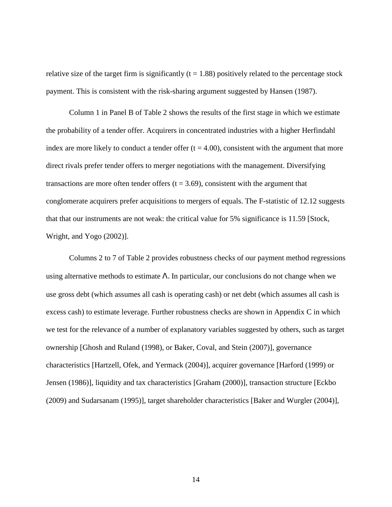relative size of the target firm is significantly  $(t = 1.88)$  positively related to the percentage stock payment. This is consistent with the risk-sharing argument suggested by Hansen (1987).

Column 1 in Panel B of Table 2 shows the results of the first stage in which we estimate the probability of a tender offer. Acquirers in concentrated industries with a higher Herfindahl index are more likely to conduct a tender offer  $(t = 4.00)$ , consistent with the argument that more direct rivals prefer tender offers to merger negotiations with the management. Diversifying transactions are more often tender offers  $(t = 3.69)$ , consistent with the argument that conglomerate acquirers prefer acquisitions to mergers of equals. The F-statistic of 12.12 suggests that that our instruments are not weak: the critical value for 5% significance is 11.59 [Stock, Wright, and Yogo (2002)].

Columns 2 to 7 of Table 2 provides robustness checks of our payment method regressions using alternative methods to estimate  $\Lambda$ . In particular, our conclusions do not change when we use gross debt (which assumes all cash is operating cash) or net debt (which assumes all cash is excess cash) to estimate leverage. Further robustness checks are shown in Appendix C in which we test for the relevance of a number of explanatory variables suggested by others, such as target ownership [Ghosh and Ruland (1998), or Baker, Coval, and Stein (2007)], governance characteristics [Hartzell, Ofek, and Yermack (2004)], acquirer governance [Harford (1999) or Jensen (1986)], liquidity and tax characteristics [Graham (2000)], transaction structure [Eckbo (2009) and Sudarsanam (1995)], target shareholder characteristics [Baker and Wurgler (2004)],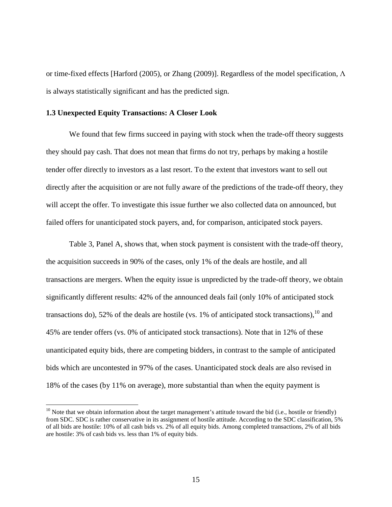or time-fixed effects [Harford (2005), or Zhang (2009)]. Regardless of the model specification, Λ is always statistically significant and has the predicted sign.

# **1.3 Unexpected Equity Transactions: A Closer Look**

<u>.</u>

We found that few firms succeed in paying with stock when the trade-off theory suggests they should pay cash. That does not mean that firms do not try, perhaps by making a hostile tender offer directly to investors as a last resort. To the extent that investors want to sell out directly after the acquisition or are not fully aware of the predictions of the trade-off theory, they will accept the offer. To investigate this issue further we also collected data on announced, but failed offers for unanticipated stock payers, and, for comparison, anticipated stock payers.

Table 3, Panel A, shows that, when stock payment is consistent with the trade-off theory, the acquisition succeeds in 90% of the cases, only 1% of the deals are hostile, and all transactions are mergers. When the equity issue is unpredicted by the trade-off theory, we obtain significantly different results: 42% of the announced deals fail (only 10% of anticipated stock transactions do), 52% of the deals are hostile (vs. 1% of anticipated stock transactions),  $^{10}$  and 45% are tender offers (vs. 0% of anticipated stock transactions). Note that in 12% of these unanticipated equity bids, there are competing bidders, in contrast to the sample of anticipated bids which are uncontested in 97% of the cases. Unanticipated stock deals are also revised in 18% of the cases (by 11% on average), more substantial than when the equity payment is

 $10$  Note that we obtain information about the target management's attitude toward the bid (i.e., hostile or friendly) from SDC. SDC is rather conservative in its assignment of hostile attitude. According to the SDC classification, 5% of all bids are hostile: 10% of all cash bids vs. 2% of all equity bids. Among completed transactions, 2% of all bids are hostile: 3% of cash bids vs. less than 1% of equity bids.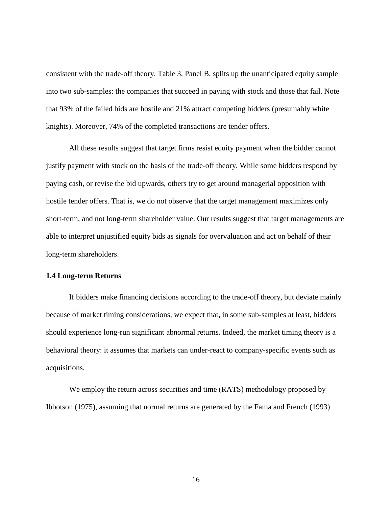consistent with the trade-off theory. Table 3, Panel B, splits up the unanticipated equity sample into two sub-samples: the companies that succeed in paying with stock and those that fail. Note that 93% of the failed bids are hostile and 21% attract competing bidders (presumably white knights). Moreover, 74% of the completed transactions are tender offers.

All these results suggest that target firms resist equity payment when the bidder cannot justify payment with stock on the basis of the trade-off theory. While some bidders respond by paying cash, or revise the bid upwards, others try to get around managerial opposition with hostile tender offers. That is, we do not observe that the target management maximizes only short-term, and not long-term shareholder value. Our results suggest that target managements are able to interpret unjustified equity bids as signals for overvaluation and act on behalf of their long-term shareholders.

## **1.4 Long-term Returns**

If bidders make financing decisions according to the trade-off theory, but deviate mainly because of market timing considerations, we expect that, in some sub-samples at least, bidders should experience long-run significant abnormal returns. Indeed, the market timing theory is a behavioral theory: it assumes that markets can under-react to company-specific events such as acquisitions.

We employ the return across securities and time (RATS) methodology proposed by Ibbotson (1975), assuming that normal returns are generated by the Fama and French (1993)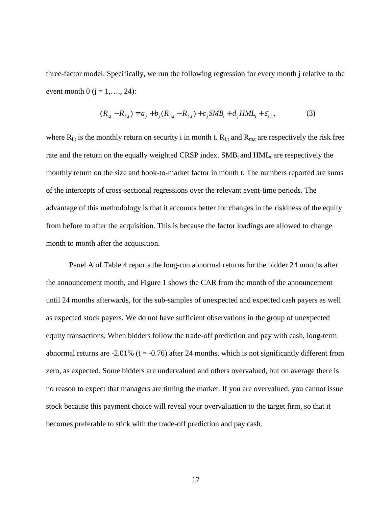three-factor model. Specifically, we run the following regression for every month j relative to the event month 0 ( $j = 1, ..., 24$ ):

$$
(R_{i,t} - R_{f,t}) = a_j + b_j (R_{m,t} - R_{f,t}) + c_j SMB_t + d_j HML_t + \varepsilon_{i,t},
$$
\n(3)

where  $R_{i,t}$  is the monthly return on security i in month t.  $R_{f,t}$  and  $R_{m,t}$  are respectively the risk free rate and the return on the equally weighted CRSP index.  $SMB_t$  and  $HML_t$  are respectively the monthly return on the size and book-to-market factor in month t. The numbers reported are sums of the intercepts of cross-sectional regressions over the relevant event-time periods. The advantage of this methodology is that it accounts better for changes in the riskiness of the equity from before to after the acquisition. This is because the factor loadings are allowed to change month to month after the acquisition.

Panel A of Table 4 reports the long-run abnormal returns for the bidder 24 months after the announcement month, and Figure 1 shows the CAR from the month of the announcement until 24 months afterwards, for the sub-samples of unexpected and expected cash payers as well as expected stock payers. We do not have sufficient observations in the group of unexpected equity transactions. When bidders follow the trade-off prediction and pay with cash, long-term abnormal returns are  $-2.01\%$  (t =  $-0.76$ ) after 24 months, which is not significantly different from zero, as expected. Some bidders are undervalued and others overvalued, but on average there is no reason to expect that managers are timing the market. If you are overvalued, you cannot issue stock because this payment choice will reveal your overvaluation to the target firm, so that it becomes preferable to stick with the trade-off prediction and pay cash.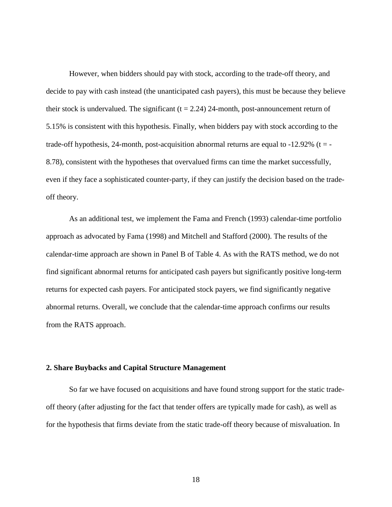However, when bidders should pay with stock, according to the trade-off theory, and decide to pay with cash instead (the unanticipated cash payers), this must be because they believe their stock is undervalued. The significant  $(t = 2.24)$  24-month, post-announcement return of 5.15% is consistent with this hypothesis. Finally, when bidders pay with stock according to the trade-off hypothesis, 24-month, post-acquisition abnormal returns are equal to  $-12.92\%$  (t = -8.78), consistent with the hypotheses that overvalued firms can time the market successfully, even if they face a sophisticated counter-party, if they can justify the decision based on the tradeoff theory.

As an additional test, we implement the Fama and French (1993) calendar-time portfolio approach as advocated by Fama (1998) and Mitchell and Stafford (2000). The results of the calendar-time approach are shown in Panel B of Table 4. As with the RATS method, we do not find significant abnormal returns for anticipated cash payers but significantly positive long-term returns for expected cash payers. For anticipated stock payers, we find significantly negative abnormal returns. Overall, we conclude that the calendar-time approach confirms our results from the RATS approach.

## **2. Share Buybacks and Capital Structure Management**

So far we have focused on acquisitions and have found strong support for the static tradeoff theory (after adjusting for the fact that tender offers are typically made for cash), as well as for the hypothesis that firms deviate from the static trade-off theory because of misvaluation. In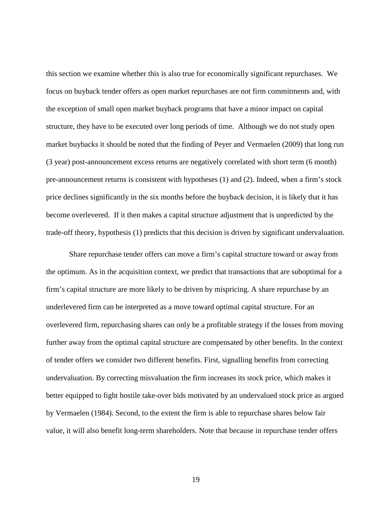this section we examine whether this is also true for economically significant repurchases. We focus on buyback tender offers as open market repurchases are not firm commitments and, with the exception of small open market buyback programs that have a minor impact on capital structure, they have to be executed over long periods of time. Although we do not study open market buybacks it should be noted that the finding of Peyer and Vermaelen (2009) that long run (3 year) post-announcement excess returns are negatively correlated with short term (6 month) pre-announcement returns is consistent with hypotheses (1) and (2). Indeed, when a firm's stock price declines significantly in the six months before the buyback decision, it is likely that it has become overlevered. If it then makes a capital structure adjustment that is unpredicted by the trade-off theory, hypothesis (1) predicts that this decision is driven by significant undervaluation.

Share repurchase tender offers can move a firm's capital structure toward or away from the optimum. As in the acquisition context, we predict that transactions that are suboptimal for a firm's capital structure are more likely to be driven by mispricing. A share repurchase by an underlevered firm can be interpreted as a move toward optimal capital structure. For an overlevered firm, repurchasing shares can only be a profitable strategy if the losses from moving further away from the optimal capital structure are compensated by other benefits. In the context of tender offers we consider two different benefits. First, signalling benefits from correcting undervaluation. By correcting misvaluation the firm increases its stock price, which makes it better equipped to fight hostile take-over bids motivated by an undervalued stock price as argued by Vermaelen (1984). Second, to the extent the firm is able to repurchase shares below fair value, it will also benefit long-term shareholders. Note that because in repurchase tender offers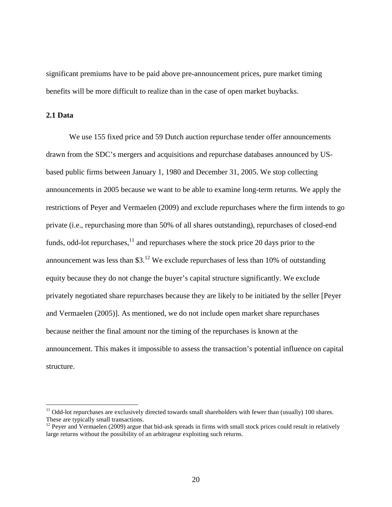significant premiums have to be paid above pre-announcement prices, pure market timing benefits will be more difficult to realize than in the case of open market buybacks.

**2.1 Data** 

<u>.</u>

We use 155 fixed price and 59 Dutch auction repurchase tender offer announcements drawn from the SDC's mergers and acquisitions and repurchase databases announced by USbased public firms between January 1, 1980 and December 31, 2005. We stop collecting announcements in 2005 because we want to be able to examine long-term returns. We apply the restrictions of Peyer and Vermaelen (2009) and exclude repurchases where the firm intends to go private (i.e., repurchasing more than 50% of all shares outstanding), repurchases of closed-end funds, odd-lot repurchases, $^{11}$  and repurchases where the stock price 20 days prior to the announcement was less than  $$3<sup>12</sup>$  We exclude repurchases of less than 10% of outstanding equity because they do not change the buyer's capital structure significantly. We exclude privately negotiated share repurchases because they are likely to be initiated by the seller [Peyer and Vermaelen (2005)]. As mentioned, we do not include open market share repurchases because neither the final amount nor the timing of the repurchases is known at the announcement. This makes it impossible to assess the transaction's potential influence on capital structure.

 $11$  Odd-lot repurchases are exclusively directed towards small shareholders with fewer than (usually) 100 shares. These are typically small transactions.

<sup>&</sup>lt;sup>12</sup> Peyer and Vermaelen (2009) argue that bid-ask spreads in firms with small stock prices could result in relatively large returns without the possibility of an arbitrageur exploiting such returns.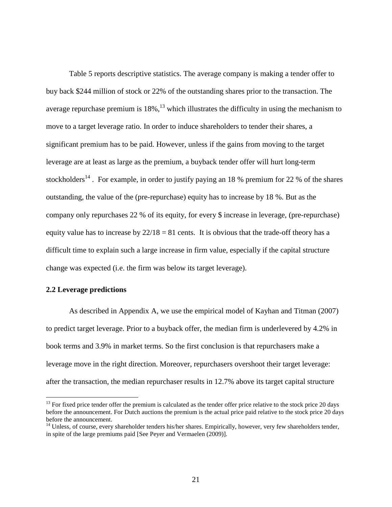Table 5 reports descriptive statistics. The average company is making a tender offer to buy back \$244 million of stock or 22% of the outstanding shares prior to the transaction. The average repurchase premium is  $18\%$ ,<sup>13</sup> which illustrates the difficulty in using the mechanism to move to a target leverage ratio. In order to induce shareholders to tender their shares, a significant premium has to be paid. However, unless if the gains from moving to the target leverage are at least as large as the premium, a buyback tender offer will hurt long-term stockholders<sup>14</sup>. For example, in order to justify paying an 18 % premium for 22 % of the shares outstanding, the value of the (pre-repurchase) equity has to increase by 18 %. But as the company only repurchases 22 % of its equity, for every \$ increase in leverage, (pre-repurchase) equity value has to increase by  $22/18 = 81$  cents. It is obvious that the trade-off theory has a difficult time to explain such a large increase in firm value, especially if the capital structure change was expected (i.e. the firm was below its target leverage).

# **2.2 Leverage predictions**

 $\overline{a}$ 

As described in Appendix A, we use the empirical model of Kayhan and Titman (2007) to predict target leverage. Prior to a buyback offer, the median firm is underlevered by 4.2% in book terms and 3.9% in market terms. So the first conclusion is that repurchasers make a leverage move in the right direction. Moreover, repurchasers overshoot their target leverage: after the transaction, the median repurchaser results in 12.7% above its target capital structure

 $<sup>13</sup>$  For fixed price tender offer the premium is calculated as the tender offer price relative to the stock price 20 days</sup> before the announcement. For Dutch auctions the premium is the actual price paid relative to the stock price 20 days before the announcement.

 $14$  Unless, of course, every shareholder tenders his/her shares. Empirically, however, very few shareholders tender, in spite of the large premiums paid [See Peyer and Vermaelen (2009)].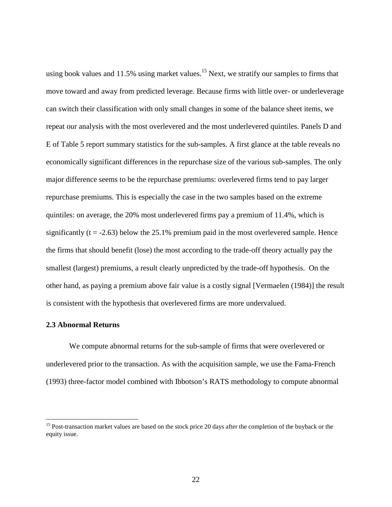using book values and 11.5% using market values.<sup>15</sup> Next, we stratify our samples to firms that move toward and away from predicted leverage. Because firms with little over- or underleverage can switch their classification with only small changes in some of the balance sheet items, we repeat our analysis with the most overlevered and the most underlevered quintiles. Panels D and E of Table 5 report summary statistics for the sub-samples. A first glance at the table reveals no economically significant differences in the repurchase size of the various sub-samples. The only major difference seems to be the repurchase premiums: overlevered firms tend to pay larger repurchase premiums. This is especially the case in the two samples based on the extreme quintiles: on average, the 20% most underlevered firms pay a premium of 11.4%, which is significantly ( $t = -2.63$ ) below the 25.1% premium paid in the most overlevered sample. Hence the firms that should benefit (lose) the most according to the trade-off theory actually pay the smallest (largest) premiums, a result clearly unpredicted by the trade-off hypothesis. On the other hand, as paying a premium above fair value is a costly signal [Vermaelen (1984)] the result is consistent with the hypothesis that overlevered firms are more undervalued.

#### **2.3 Abnormal Returns**

<u>.</u>

We compute abnormal returns for the sub-sample of firms that were overlevered or underlevered prior to the transaction. As with the acquisition sample, we use the Fama-French (1993) three-factor model combined with Ibbotson's RATS methodology to compute abnormal

<sup>&</sup>lt;sup>15</sup> Post-transaction market values are based on the stock price 20 days after the completion of the buyback or the equity issue.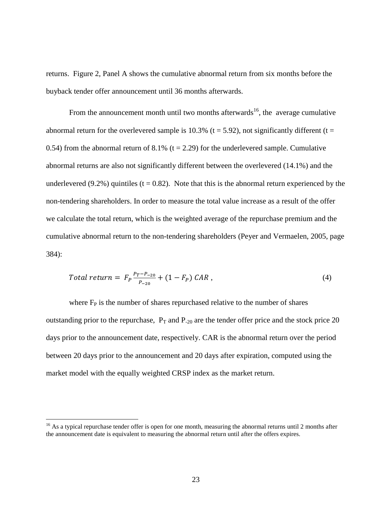returns. Figure 2, Panel A shows the cumulative abnormal return from six months before the buyback tender offer announcement until 36 months afterwards.

From the announcement month until two months afterwards<sup>16</sup>, the average cumulative abnormal return for the overlevered sample is 10.3% ( $t = 5.92$ ), not significantly different ( $t =$ 0.54) from the abnormal return of 8.1% ( $t = 2.29$ ) for the underlevered sample. Cumulative abnormal returns are also not significantly different between the overlevered (14.1%) and the underlevered (9.2%) quintiles ( $t = 0.82$ ). Note that this is the abnormal return experienced by the non-tendering shareholders. In order to measure the total value increase as a result of the offer we calculate the total return, which is the weighted average of the repurchase premium and the cumulative abnormal return to the non-tendering shareholders (Peyer and Vermaelen, 2005, page 384):

Total return = 
$$
F_P \frac{P_T - P_{-20}}{P_{-20}} + (1 - F_P) CAR
$$
, (4)

where  $F_P$  is the number of shares repurchased relative to the number of shares outstanding prior to the repurchase,  $P_T$  and  $P_{-20}$  are the tender offer price and the stock price 20 days prior to the announcement date, respectively. CAR is the abnormal return over the period between 20 days prior to the announcement and 20 days after expiration, computed using the market model with the equally weighted CRSP index as the market return.

 $\overline{a}$ 

 $16$  As a typical repurchase tender offer is open for one month, measuring the abnormal returns until 2 months after the announcement date is equivalent to measuring the abnormal return until after the offers expires.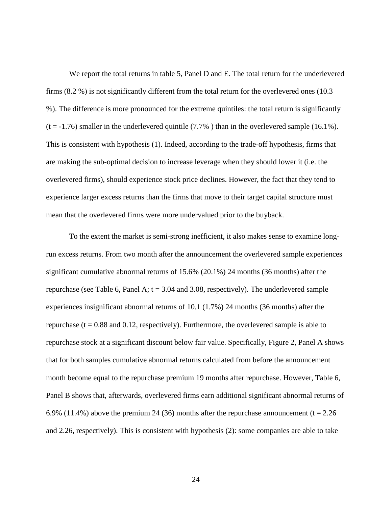We report the total returns in table 5, Panel D and E. The total return for the underlevered firms (8.2 %) is not significantly different from the total return for the overlevered ones (10.3 %). The difference is more pronounced for the extreme quintiles: the total return is significantly  $(t = -1.76)$  smaller in the underlevered quintile (7.7%) than in the overlevered sample (16.1%). This is consistent with hypothesis (1). Indeed, according to the trade-off hypothesis, firms that are making the sub-optimal decision to increase leverage when they should lower it (i.e. the overlevered firms), should experience stock price declines. However, the fact that they tend to experience larger excess returns than the firms that move to their target capital structure must mean that the overlevered firms were more undervalued prior to the buyback.

To the extent the market is semi-strong inefficient, it also makes sense to examine longrun excess returns. From two month after the announcement the overlevered sample experiences significant cumulative abnormal returns of 15.6% (20.1%) 24 months (36 months) after the repurchase (see Table 6, Panel A;  $t = 3.04$  and 3.08, respectively). The underlevered sample experiences insignificant abnormal returns of 10.1 (1.7%) 24 months (36 months) after the repurchase ( $t = 0.88$  and  $0.12$ , respectively). Furthermore, the overlevered sample is able to repurchase stock at a significant discount below fair value. Specifically, Figure 2, Panel A shows that for both samples cumulative abnormal returns calculated from before the announcement month become equal to the repurchase premium 19 months after repurchase. However, Table 6, Panel B shows that, afterwards, overlevered firms earn additional significant abnormal returns of 6.9% (11.4%) above the premium 24 (36) months after the repurchase announcement (t = 2.26 and 2.26, respectively). This is consistent with hypothesis (2): some companies are able to take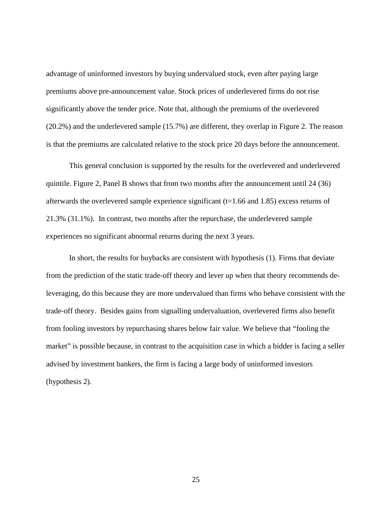advantage of uninformed investors by buying undervalued stock, even after paying large premiums above pre-announcement value. Stock prices of underlevered firms do not rise significantly above the tender price. Note that, although the premiums of the overlevered (20.2%) and the underlevered sample (15.7%) are different, they overlap in Figure 2. The reason is that the premiums are calculated relative to the stock price 20 days before the announcement.

This general conclusion is supported by the results for the overlevered and underlevered quintile. Figure 2, Panel B shows that from two months after the announcement until 24 (36) afterwards the overlevered sample experience significant  $(t=1.66$  and 1.85) excess returns of 21.3% (31.1%). In contrast, two months after the repurchase, the underlevered sample experiences no significant abnormal returns during the next 3 years.

In short, the results for buybacks are consistent with hypothesis (1). Firms that deviate from the prediction of the static trade-off theory and lever up when that theory recommends deleveraging, do this because they are more undervalued than firms who behave consistent with the trade-off theory. Besides gains from signalling undervaluation, overlevered firms also benefit from fooling investors by repurchasing shares below fair value. We believe that "fooling the market" is possible because, in contrast to the acquisition case in which a bidder is facing a seller advised by investment bankers, the firm is facing a large body of uninformed investors (hypothesis 2).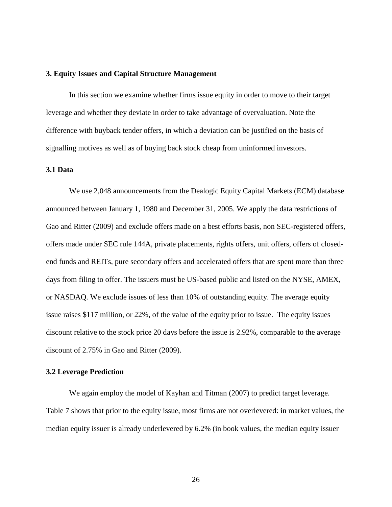#### **3. Equity Issues and Capital Structure Management**

In this section we examine whether firms issue equity in order to move to their target leverage and whether they deviate in order to take advantage of overvaluation. Note the difference with buyback tender offers, in which a deviation can be justified on the basis of signalling motives as well as of buying back stock cheap from uninformed investors.

# **3.1 Data**

We use 2,048 announcements from the Dealogic Equity Capital Markets (ECM) database announced between January 1, 1980 and December 31, 2005. We apply the data restrictions of Gao and Ritter (2009) and exclude offers made on a best efforts basis, non SEC-registered offers, offers made under SEC rule 144A, private placements, rights offers, unit offers, offers of closedend funds and REITs, pure secondary offers and accelerated offers that are spent more than three days from filing to offer. The issuers must be US-based public and listed on the NYSE, AMEX, or NASDAQ. We exclude issues of less than 10% of outstanding equity. The average equity issue raises \$117 million, or 22%, of the value of the equity prior to issue. The equity issues discount relative to the stock price 20 days before the issue is 2.92%, comparable to the average discount of 2.75% in Gao and Ritter (2009).

## **3.2 Leverage Prediction**

We again employ the model of Kayhan and Titman (2007) to predict target leverage. Table 7 shows that prior to the equity issue, most firms are not overlevered: in market values, the median equity issuer is already underlevered by 6.2% (in book values, the median equity issuer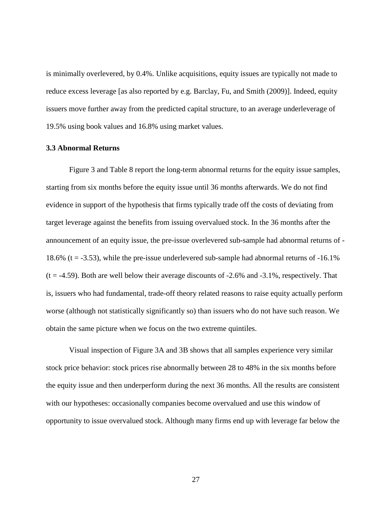is minimally overlevered, by 0.4%. Unlike acquisitions, equity issues are typically not made to reduce excess leverage [as also reported by e.g. Barclay, Fu, and Smith (2009)]. Indeed, equity issuers move further away from the predicted capital structure, to an average underleverage of 19.5% using book values and 16.8% using market values.

# **3.3 Abnormal Returns**

Figure 3 and Table 8 report the long-term abnormal returns for the equity issue samples, starting from six months before the equity issue until 36 months afterwards. We do not find evidence in support of the hypothesis that firms typically trade off the costs of deviating from target leverage against the benefits from issuing overvalued stock. In the 36 months after the announcement of an equity issue, the pre-issue overlevered sub-sample had abnormal returns of - 18.6% ( $t = -3.53$ ), while the pre-issue underlevered sub-sample had abnormal returns of  $-16.1\%$  $(t = -4.59)$ . Both are well below their average discounts of  $-2.6\%$  and  $-3.1\%$ , respectively. That is, issuers who had fundamental, trade-off theory related reasons to raise equity actually perform worse (although not statistically significantly so) than issuers who do not have such reason. We obtain the same picture when we focus on the two extreme quintiles.

Visual inspection of Figure 3A and 3B shows that all samples experience very similar stock price behavior: stock prices rise abnormally between 28 to 48% in the six months before the equity issue and then underperform during the next 36 months. All the results are consistent with our hypotheses: occasionally companies become overvalued and use this window of opportunity to issue overvalued stock. Although many firms end up with leverage far below the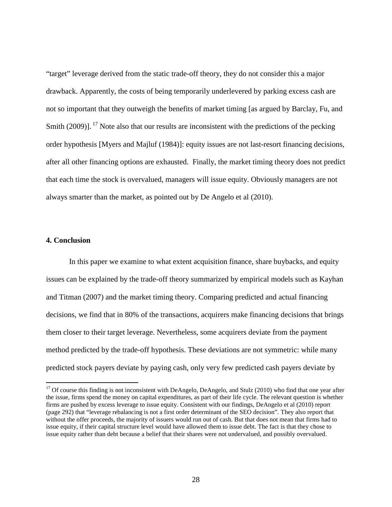"target" leverage derived from the static trade-off theory, they do not consider this a major drawback. Apparently, the costs of being temporarily underlevered by parking excess cash are not so important that they outweigh the benefits of market timing [as argued by Barclay, Fu, and Smith (2009)].<sup>17</sup> Note also that our results are inconsistent with the predictions of the pecking order hypothesis [Myers and Majluf (1984)]: equity issues are not last-resort financing decisions, after all other financing options are exhausted. Finally, the market timing theory does not predict that each time the stock is overvalued, managers will issue equity. Obviously managers are not always smarter than the market, as pointed out by De Angelo et al (2010).

# **4. Conclusion**

<u>.</u>

In this paper we examine to what extent acquisition finance, share buybacks, and equity issues can be explained by the trade-off theory summarized by empirical models such as Kayhan and Titman (2007) and the market timing theory. Comparing predicted and actual financing decisions, we find that in 80% of the transactions, acquirers make financing decisions that brings them closer to their target leverage. Nevertheless, some acquirers deviate from the payment method predicted by the trade-off hypothesis. These deviations are not symmetric: while many predicted stock payers deviate by paying cash, only very few predicted cash payers deviate by

<sup>&</sup>lt;sup>17</sup> Of course this finding is not inconsistent with DeAngelo, DeAngelo, and Stulz (2010) who find that one year after the issue, firms spend the money on capital expenditures, as part of their life cycle. The relevant question is whether firms are pushed by excess leverage to issue equity. Consistent with our findings, DeAngelo et al (2010) report (page 292) that "leverage rebalancing is not a first order determinant of the SEO decision". They also report that without the offer proceeds, the majority of issuers would run out of cash. But that does not mean that firms had to issue equity, if their capital structure level would have allowed them to issue debt. The fact is that they chose to issue equity rather than debt because a belief that their shares were not undervalued, and possibly overvalued.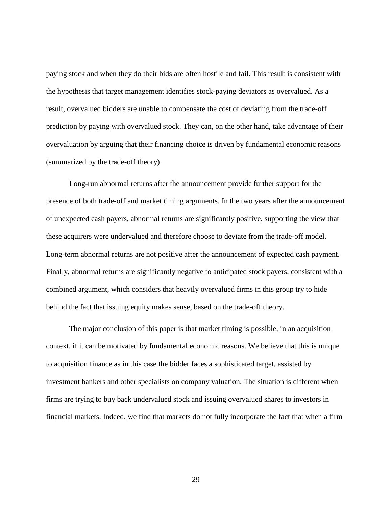paying stock and when they do their bids are often hostile and fail. This result is consistent with the hypothesis that target management identifies stock-paying deviators as overvalued. As a result, overvalued bidders are unable to compensate the cost of deviating from the trade-off prediction by paying with overvalued stock. They can, on the other hand, take advantage of their overvaluation by arguing that their financing choice is driven by fundamental economic reasons (summarized by the trade-off theory).

Long-run abnormal returns after the announcement provide further support for the presence of both trade-off and market timing arguments. In the two years after the announcement of unexpected cash payers, abnormal returns are significantly positive, supporting the view that these acquirers were undervalued and therefore choose to deviate from the trade-off model. Long-term abnormal returns are not positive after the announcement of expected cash payment. Finally, abnormal returns are significantly negative to anticipated stock payers, consistent with a combined argument, which considers that heavily overvalued firms in this group try to hide behind the fact that issuing equity makes sense, based on the trade-off theory.

The major conclusion of this paper is that market timing is possible, in an acquisition context, if it can be motivated by fundamental economic reasons. We believe that this is unique to acquisition finance as in this case the bidder faces a sophisticated target, assisted by investment bankers and other specialists on company valuation. The situation is different when firms are trying to buy back undervalued stock and issuing overvalued shares to investors in financial markets. Indeed, we find that markets do not fully incorporate the fact that when a firm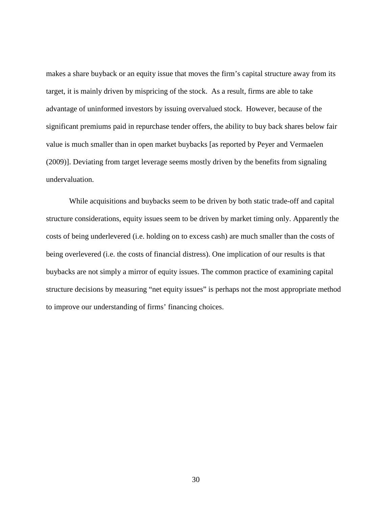makes a share buyback or an equity issue that moves the firm's capital structure away from its target, it is mainly driven by mispricing of the stock. As a result, firms are able to take advantage of uninformed investors by issuing overvalued stock. However, because of the significant premiums paid in repurchase tender offers, the ability to buy back shares below fair value is much smaller than in open market buybacks [as reported by Peyer and Vermaelen (2009)]. Deviating from target leverage seems mostly driven by the benefits from signaling undervaluation.

While acquisitions and buybacks seem to be driven by both static trade-off and capital structure considerations, equity issues seem to be driven by market timing only. Apparently the costs of being underlevered (i.e. holding on to excess cash) are much smaller than the costs of being overlevered (i.e. the costs of financial distress). One implication of our results is that buybacks are not simply a mirror of equity issues. The common practice of examining capital structure decisions by measuring "net equity issues" is perhaps not the most appropriate method to improve our understanding of firms' financing choices.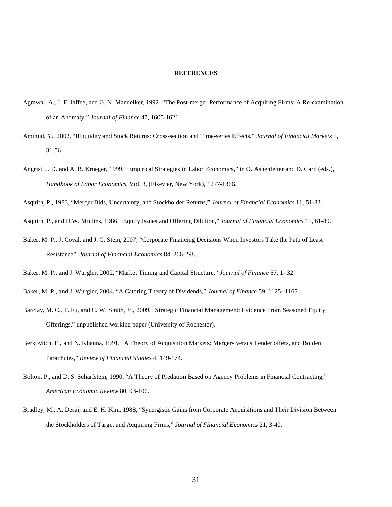#### **REFERENCES**

- Agrawal, A., J. F. Jaffee, and G. N. Mandelker, 1992, "The Post-merger Performance of Acquiring Firms: A Re-examination of an Anomaly," *Journal of Finance* 47, 1605-1621.
- Amihud, Y., 2002, "Illiquidity and Stock Returns: Cross-section and Time-series Effects," *Journal of Financial Markets* 5, 31-56.
- Angrist, J. D. and A. B. Krueger, 1999, "Empirical Strategies in Labor Economics," in O. Ashenfelter and D. Card (eds.), *Handbook of Labor Economics*, Vol. 3, (Elsevier, New York), 1277-1366.
- Asquith, P., 1983, "Merger Bids, Uncertainty, and Stockholder Returns," *Journal of Financial Economics* 11, 51-83.

Asquith, P., and D.W. Mullins, 1986, "Equity Issues and Offering Dilution," *Journal of Financial Economics* 15, 61-89.

Baker, M. P., J. Coval, and J. C. Stein, 2007, "Corporate Financing Decisions When Investors Take the Path of Least Resistance", *Journal of Financial Economics* 84, 266-298.

- Baker, M. P., and J. Wurgler, 2004, "A Catering Theory of Dividends," *Journal of Finance* 59, 1125- 1165.
- Barclay, M. C., F. Fu, and C. W. Smith, Jr., 2009, "Strategic Financial Management: Evidence From Seasoned Equity Offerings," unpublished working paper (University of Rochester).
- Berkovitch, E., and N. Khanna, 1991, "A Theory of Acquisition Markets: Mergers versus Tender offers, and Bolden Parachutes," *Review of Financial Studies* 4, 149-174.
- Bolton, P., and D. S. Scharfstein, 1990, "A Theory of Predation Based on Agency Problems in Financial Contracting," *American Economic Review* 80, 93-106.
- Bradley, M., A. Desai, and E. H. Kim, 1988, "Synergistic Gains from Corporate Acquisitions and Their Division Between the Stockholders of Target and Acquiring Firms," *Journal of Financial Economics* 21, 3-40.

Baker, M. P., and J. Wurgler, 2002, "Market Timing and Capital Structure," *Journal of Finance* 57, 1- 32.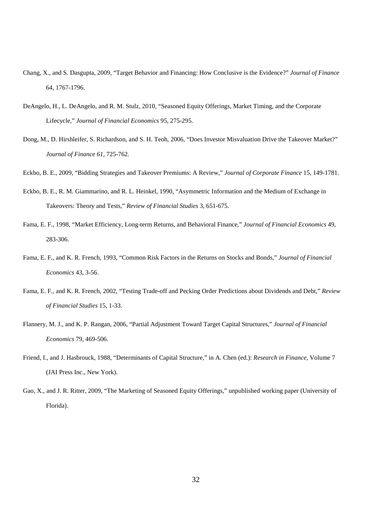- Chang, X., and S. Dasgupta, 2009, "Target Behavior and Financing: How Conclusive is the Evidence?" *Journal of Finance* 64, 1767-1796.
- DeAngelo, H., L. DeAngelo, and R. M. Stulz, 2010, "Seasoned Equity Offerings, Market Timing, and the Corporate Lifecycle," *Journal of Financial Economics* 95, 275-295.
- Dong, M., D. Hirshleifer, S. Richardson, and S. H. Teoh, 2006, "Does Investor Misvaluation Drive the Takeover Market?" *Journal of Finance 61*, 725-762.
- Eckbo, B. E., 2009, "Bidding Strategies and Takeover Premiums: A Review," *Journal of Corporate Finance* 15, 149-1781.
- Eckbo, B. E., R. M. Giammarino, and R. L. Heinkel, 1990, "Asymmetric Information and the Medium of Exchange in Takeovers: Theory and Tests," *Review of Financial Studies* 3, 651-675.
- Fama, E. F., 1998, "Market Efficiency, Long-term Returns, and Behavioral Finance," *Journal of Financial Economics* 49, 283-306.
- Fama, E. F., and K. R. French, 1993, "Common Risk Factors in the Returns on Stocks and Bonds," *Journal of Financial Economics* 43, 3-56.
- Fama, E. F., and K. R. French, 2002, "Testing Trade-off and Pecking Order Predictions about Dividends and Debt," *Review of Financial Studies* 15, 1-33.
- Flannery, M. J., and K. P. Rangan, 2006, "Partial Adjustment Toward Target Capital Structures," *Journal of Financial Economics* 79, 469-506.
- Friend, I., and J. Hasbrouck, 1988, "Determinants of Capital Structure," in A. Chen (ed.): *Research in Finance*, Volume 7 (JAI Press Inc., New York).
- Gao, X., and J. R. Ritter, 2009, "The Marketing of Seasoned Equity Offerings," unpublished working paper (University of Florida).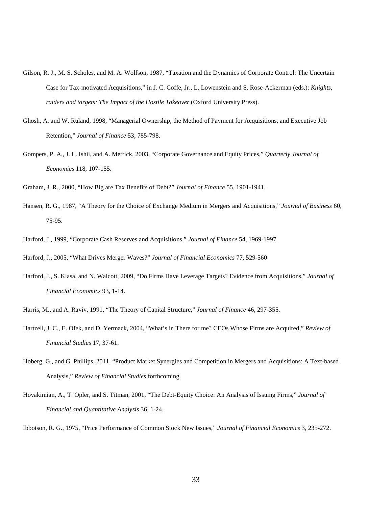- Gilson, R. J., M. S. Scholes, and M. A. Wolfson, 1987, "Taxation and the Dynamics of Corporate Control: The Uncertain Case for Tax-motivated Acquisitions," in J. C. Coffe, Jr., L. Lowenstein and S. Rose-Ackerman (eds.): *Knights, raiders and targets: The Impact of the Hostile Takeover* (Oxford University Press).
- Ghosh, A, and W. Ruland, 1998, "Managerial Ownership, the Method of Payment for Acquisitions, and Executive Job Retention," *Journal of Finance* 53, 785-798.
- Gompers, P. A., J. L. Ishii, and A. Metrick, 2003, "Corporate Governance and Equity Prices," *Quarterly Journal of Economics* 118, 107-155.

Graham, J. R., 2000, "How Big are Tax Benefits of Debt?" *Journal of Finance* 55, 1901-1941.

- Hansen, R. G., 1987, "A Theory for the Choice of Exchange Medium in Mergers and Acquisitions," *Journal of Business* 60, 75-95.
- Harford, J., 1999, "Corporate Cash Reserves and Acquisitions," *Journal of Finance* 54, 1969-1997.

Harford, J., 2005, "What Drives Merger Waves?" *Journal of Financial Economics* 77, 529-560

- Harford, J., S. Klasa, and N. Walcott, 2009, "Do Firms Have Leverage Targets? Evidence from Acquisitions," *Journal of Financial Economics* 93, 1-14.
- Harris, M., and A. Raviv, 1991, "The Theory of Capital Structure," *Journal of Finance* 46, 297-355.
- Hartzell, J. C., E. Ofek, and D. Yermack, 2004, "What's in There for me? CEOs Whose Firms are Acquired," *Review of Financial Studies* 17, 37-61.
- Hoberg, G., and G. Phillips, 2011, "Product Market Synergies and Competition in Mergers and Acquisitions: A Text-based Analysis," *Review of Financial Studies* forthcoming.
- Hovakimian, A., T. Opler, and S. Titman, 2001, "The Debt-Equity Choice: An Analysis of Issuing Firms," *Journal of Financial and Quantitative Analysis* 36, 1-24.

Ibbotson, R. G., 1975, "Price Performance of Common Stock New Issues," *Journal of Financial Economics* 3, 235-272.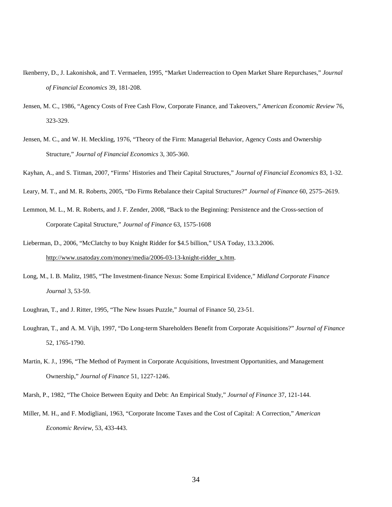- Ikenberry, D., J. Lakonishok, and T. Vermaelen, 1995, "Market Underreaction to Open Market Share Repurchases," *Journal of Financial Economics* 39, 181-208.
- Jensen, M. C., 1986, "Agency Costs of Free Cash Flow, Corporate Finance, and Takeovers," *American Economic Review* 76, 323-329.
- Jensen, M. C., and W. H. Meckling, 1976, "Theory of the Firm: Managerial Behavior, Agency Costs and Ownership Structure," *Journal of Financial Economics* 3, 305-360.
- Kayhan, A., and S. Titman, 2007, "Firms' Histories and Their Capital Structures," *Journal of Financial Economics* 83, 1-32.
- Leary, M. T., and M. R. Roberts, 2005, "Do Firms Rebalance their Capital Structures?" *Journal of Finance* 60, 2575–2619.
- Lemmon, M. L., M. R. Roberts, and J. F. Zender, 2008, "Back to the Beginning: Persistence and the Cross-section of Corporate Capital Structure," *Journal of Finance* 63, 1575-1608
- Lieberman, D., 2006, "McClatchy to buy Knight Ridder for \$4.5 billion," USA Today, 13.3.2006. http://www.usatoday.com/money/media/2006-03-13-knight-ridder\_x.htm.
- Long, M., I. B. Malitz, 1985, "The Investment-finance Nexus: Some Empirical Evidence," *Midland Corporate Finance Journal* 3, 53-59.
- Loughran, T., and J. Ritter, 1995, "The New Issues Puzzle," Journal of Finance 50, 23-51.
- Loughran, T., and A. M. Vijh, 1997, "Do Long-term Shareholders Benefit from Corporate Acquisitions?" *Journal of Finance* 52, 1765-1790.
- Martin, K. J., 1996, "The Method of Payment in Corporate Acquisitions, Investment Opportunities, and Management Ownership," *Journal of Finance* 51, 1227-1246.

Marsh, P., 1982, "The Choice Between Equity and Debt: An Empirical Study," *Journal of Finance* 37, 121-144.

Miller, M. H., and F. Modigliani, 1963, "Corporate Income Taxes and the Cost of Capital: A Correction," *American Economic Review*, 53, 433-443.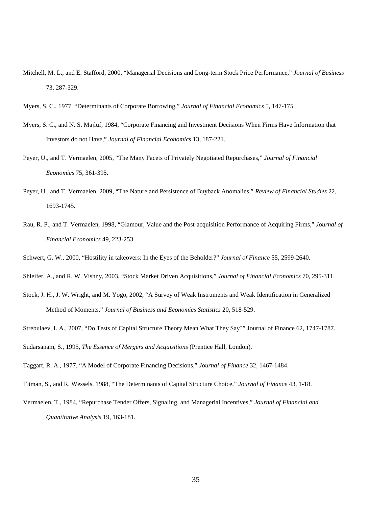Mitchell, M. L., and E. Stafford, 2000, "Managerial Decisions and Long-term Stock Price Performance," *Journal of Business* 73, 287-329.

- Myers, S. C., and N. S. Majluf, 1984, "Corporate Financing and Investment Decisions When Firms Have Information that Investors do not Have," *Journal of Financial Economics* 13, 187-221.
- Peyer, U., and T. Vermaelen, 2005, "The Many Facets of Privately Negotiated Repurchases," *Journal of Financial Economics* 75, 361-395.
- Peyer, U., and T. Vermaelen, 2009, "The Nature and Persistence of Buyback Anomalies," *Review of Financial Studies* 22, 1693-1745.
- Rau, R. P., and T. Vermaelen, 1998, "Glamour, Value and the Post-acquisition Performance of Acquiring Firms," *Journal of Financial Economics* 49, 223-253.
- Schwert, G. W., 2000, "Hostility in takeovers: In the Eyes of the Beholder?" *Journal of Finance* 55, 2599-2640.
- Shleifer, A., and R. W. Vishny, 2003, "Stock Market Driven Acquisitions," *Journal of Financial Economics* 70, 295-311.
- Stock, J. H., J. W. Wright, and M. Yogo, 2002, "A Survey of Weak Instruments and Weak Identification in Generalized Method of Moments," *Journal of Business and Economics Statistics* 20, 518-529.
- Strebulaev, I. A., 2007, "Do Tests of Capital Structure Theory Mean What They Say?" Journal of Finance 62, 1747-1787.

Sudarsanam, S., 1995, *The Essence of Mergers and Acquisitions* (Prentice Hall, London).

Taggart, R. A., 1977, "A Model of Corporate Financing Decisions," *Journal of Finance* 32, 1467-1484.

- Titman, S., and R. Wessels, 1988, "The Determinants of Capital Structure Choice," *Journal of Finance* 43, 1-18.
- Vermaelen, T., 1984, "Repurchase Tender Offers, Signaling, and Managerial Incentives," *Journal of Financial and Quantitative Analysis* 19, 163-181.

Myers, S. C., 1977. "Determinants of Corporate Borrowing," *Journal of Financial Economics* 5, 147-175.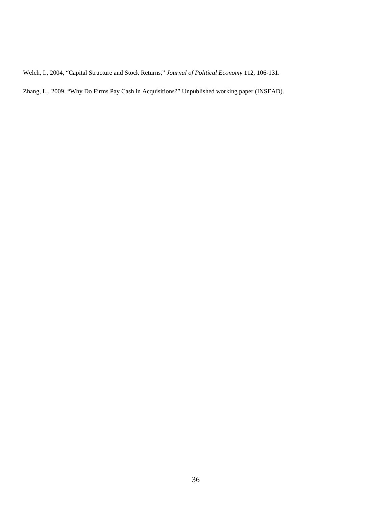Welch, I., 2004, "Capital Structure and Stock Returns," *Journal of Political Economy* 112, 106-131.

Zhang, L., 2009, "Why Do Firms Pay Cash in Acquisitions?" Unpublished working paper (INSEAD).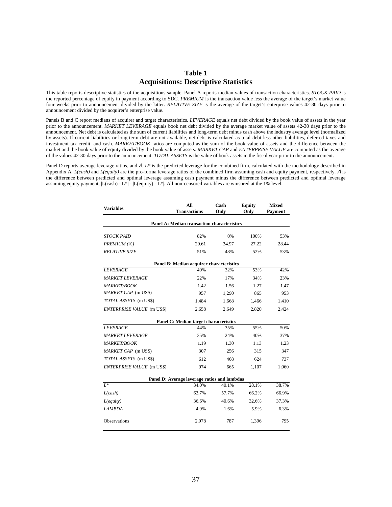# **Table 1 Acquisitions: Descriptive Statistics**

This table reports descriptive statistics of the acquisitions sample. Panel A reports median values of transaction characteristics. *STOCK PAID* is the reported percentage of equity in payment according to SDC. *PREMIUM* is the transaction value less the average of the target's market value four weeks prior to announcement divided by the latter. *RELATIVE SIZE* is the average of the target's enterprise values 42-30 days prior to announcement divided by the acquirer's enterprise value.

Panels B and C report medians of acquirer and target characteristics. *LEVERAGE* equals net debt divided by the book value of assets in the year prior to the announcement. *MARKET LEVERAGE* equals book net debt divided by the average market value of assets 42-30 days prior to the announcement. Net debt is calculated as the sum of current liabilities and long-term debt minus cash above the industry average level (normalized by assets). If current liabilities or long-term debt are not available, net debt is calculated as total debt less other liabilities, deferred taxes and investment tax credit, and cash. *MARKET/BOOK* ratios are computed as the sum of the book value of assets and the difference between the market and the book value of equity divided by the book value of assets. *MARKET CAP* and *ENTERPRISE VALUE* are computed as the average of the values 42-30 days prior to the announcement. *TOTAL ASSETS* is the value of book assets in the fiscal year prior to the announcement.

Panel D reports average leverage ratios, and Λ. *L\** is the predicted leverage for the combined firm, calculated with the methodology described in Appendix A. *L(cash)* and *L(equity)* are the pro-forma leverage ratios of the combined firm assuming cash and equity payment, respectively. Λ is the difference between predicted and optimal leverage assuming cash payment minus the difference between predicted and optimal leverage assuming equity payment,  $|L(cash) - L^*|$  -  $|L(equity) - L^*|$ . All non-censored variables are winsored at the 1% level.

| <b>Variables</b>                 | All                                          | Cash  | <b>Equity</b> | <b>Mixed</b> |  |
|----------------------------------|----------------------------------------------|-------|---------------|--------------|--|
|                                  | <b>Transactions</b>                          | Only  | Only          | Payment      |  |
|                                  | Panel A: Median transaction characteristics  |       |               |              |  |
| <i>STOCK PAID</i>                | 82%                                          | 0%    | 100%          | 53%          |  |
| PREMIUM (%)                      | 29.61                                        | 34.97 | 27.22         | 28.44        |  |
| <b>RELATIVE SIZE</b>             | 51%                                          | 48%   | 52%           | 53%          |  |
|                                  | Panel B: Median acquirer characteristics     |       |               |              |  |
| <b>LEVERAGE</b>                  | 40%                                          | 32%   | 53%           | 42%          |  |
| <b>MARKET LEVERAGE</b>           | 22%                                          | 17%   | 34%           | 23%          |  |
| <b>MARKET/BOOK</b>               | 1.42                                         | 1.56  | 1.27          | 1.47         |  |
| MARKET CAP (m US\$)              | 957                                          | 1,290 | 865           | 953          |  |
| TOTAL ASSETS (m US\$)            | 1,484                                        | 1,668 | 1,466         | 1,410        |  |
| <b>ENTERPRISE VALUE</b> (m US\$) | 2,658                                        | 2,649 | 2,820         | 2,424        |  |
|                                  | Panel C: Median target characteristics       |       |               |              |  |
| <b>LEVERAGE</b>                  | 44%                                          | 35%   | 55%           | 50%          |  |
| <b>MARKET LEVERAGE</b>           | 35%                                          | 24%   | 40%           | 37%          |  |
| <b>MARKET/BOOK</b>               | 1.19                                         | 1.30  | 1.13          | 1.23         |  |
| MARKET CAP (m US\$)              | 307                                          | 256   | 315           | 347          |  |
| TOTAL ASSETS (m US\$)            | 612                                          | 468   | 624           | 737          |  |
| <b>ENTERPRISE VALUE</b> (m US\$) | 974                                          | 665   | 1,107         | 1,060        |  |
|                                  | Panel D: Average leverage ratios and lambdas |       |               |              |  |
| $L^*$                            | 34.0%                                        | 40.1% | 28.1%         | 38.7%        |  |
| L(cash)                          | 63.7%                                        | 57.7% | 66.2%         | 66.9%        |  |
| $L$ (equity)                     | 36.6%                                        | 40.6% | 32.6%         | 37.3%        |  |
| <b>LAMBDA</b>                    | 4.9%                                         | 1.6%  | 5.9%          | 6.3%         |  |
| Observations                     | 2,978                                        | 787   | 1,396         | 795          |  |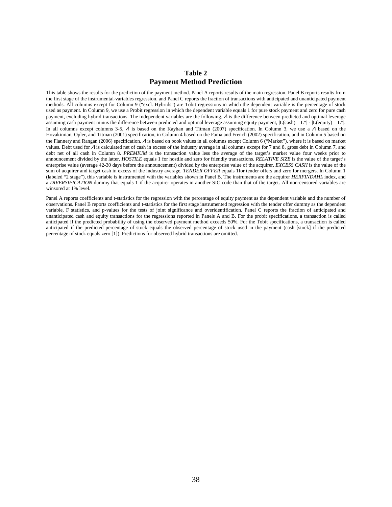## **Table 2 Payment Method Prediction**

This table shows the results for the prediction of the payment method. Panel A reports results of the main regression, Panel B reports results from the first stage of the instrumental-variables regression, and Panel C reports the fraction of transactions with anticipated and unanticipated payment methods. All columns except for Column 9 ("excl. Hybrids") are Tobit regressions in which the dependent variable is the percentage of stock used as payment. In Column 9, we use a Probit regression in which the dependent variable equals 1 for pure stock payment and zero for pure cash payment, excluding hybrid transactions. The independent variables are the following. Λ is the difference between predicted and optimal leverage assuming cash payment minus the difference between predicted and optimal leverage assuming equity payment,  $|L(\text{cash}) - L^*|$ .  $|L(\text{equity}) - L^*|$ . In all columns except columns 3-5, Λ is based on the Kayhan and Titman (2007) specification. In Column 3, we use a Λ based on the Hovakimian, Opler, and Titman (2001) specification, in Column 4 based on the Fama and French (2002) specification, and in Column 5 based on the Flannery and Rangan (2006) specification. <sup>Λ</sup> is based on book values in all columns except Column 6 ("Market"), where it is based on market values. Debt used for  $\Lambda$  is calculated net of cash in excess of the industry average in all columns except for 7 and 8, gross debt in Column 7, and debt net of all cash in Column 8. PREMIUM is the transaction value less the average of the target's market value four weeks prior to announcement divided by the latter. *HOSTILE* equals 1 for hostile and zero for friendly transactions. *RELATIVE SIZE* is the value of the target's enterprise value (average 42-30 days before the announcement) divided by the enterprise value of the acquirer. *EXCESS CASH* is the value of the sum of acquirer and target cash in excess of the industry average. *TENDER OFFER* equals 1for tender offers and zero for mergers. In Column 1 (labeled "2 stage"), this variable is instrumented with the variables shown in Panel B. The instruments are the acquirer *HERFINDAHL* index, and a *DIVERSIFICATION* dummy that equals 1 if the acquirer operates in another SIC code than that of the target. All non-censored variables are winsored at 1% level.

Panel A reports coefficients and t-statistics for the regression with the percentage of equity payment as the dependent variable and the number of observations. Panel B reports coefficients and t-statistics for the first stage instrumented regression with the tender offer dummy as the dependent variable, F statistics, and p-values for the tests of joint significance and overidentification. Panel C reports the fraction of anticipated and unanticipated cash and equity transactions for the regressions reported in Panels A and B. For the probit specifications, a transaction is called anticipated if the predicted probability of using the observed payment method exceeds 50%. For the Tobit specifications, a transaction is called anticipated if the predicted percentage of stock equals the observed percentage of stock used in the payment (cash [stock] if the predicted percentage of stock equals zero [1]). Predictions for observed hybrid transactions are omitted.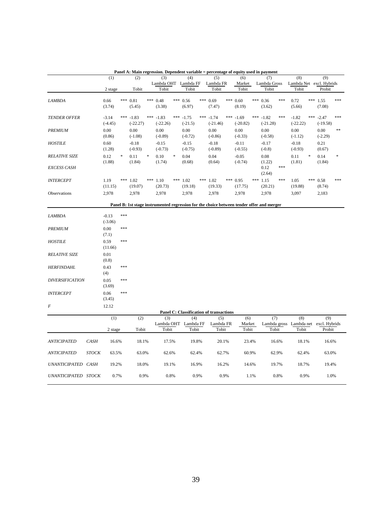|                        |              | (1)                  |     | , ансі А. мані гсегсэзюц. Dv<br>(2) |        | (3)                                                                                       |     | рспист тагтари<br>(4)                   |     | плинад<br>(5)             |      | (6)                    | ustu m | лаушст<br>(7)             |       | (8)                                                   |   | (9)                       |      |
|------------------------|--------------|----------------------|-----|-------------------------------------|--------|-------------------------------------------------------------------------------------------|-----|-----------------------------------------|-----|---------------------------|------|------------------------|--------|---------------------------|-------|-------------------------------------------------------|---|---------------------------|------|
|                        |              |                      |     |                                     |        | Lambda OHT Lambda FF                                                                      |     |                                         |     | Lambda FR                 |      | Market                 |        | Lambda Gross              |       | Lambda Net excl. Hybrids                              |   |                           |      |
|                        |              | 2 stage              |     | Tobit                               |        | Tobit                                                                                     |     | Tobit                                   |     | Tobit                     |      | Tobit                  |        | Tobit                     |       | Tobit                                                 |   | Probit                    |      |
| <b>LAMBDA</b>          |              | 0.66<br>(3.74)       |     | *** 0.81<br>(5.45)                  |        | *** $0.48$<br>(3.38)                                                                      |     | *** $0.56$<br>(6.97)                    |     | *** 0.69<br>(7.47)        |      | *** $0.60$<br>(8.19)   |        | *** 0.36<br>(3.62)        | ***   | 0.72<br>(5.66)                                        |   | *** 1.55<br>(7.08)        | ***  |
| <b>TENDER OFFER</b>    |              | $-3.14$<br>$(-4.45)$ | *** | $-1.83$<br>$(-22.27)$               |        | *** $-1.83$<br>$(-22.26)$                                                                 | *** | $-1.75$<br>$(-21.5)$                    |     | *** $-1.74$<br>$(-21.46)$ | ***  | $-1.69$<br>$(-20.82)$  |        | *** $-1.82$<br>$(-21.28)$ | ***   | $-1.82$<br>$(-22.22)$                                 |   | *** $-2.47$<br>$(-19.58)$ | ***  |
| PREMIUM                |              | 0.00<br>(0.86)       |     | 0.00<br>$(-1.08)$                   |        | 0.00<br>$(-0.89)$                                                                         |     | 0.00<br>$(-0.72)$                       |     | 0.00<br>$(-0.86)$         |      | 0.00<br>$(-0.33)$      |        | 0.00<br>$(-0.58)$         |       | 0.00<br>$(-1.12)$                                     |   | 0.00<br>$(-2.29)$         | $**$ |
| <b>HOSTILE</b>         |              | 0.60<br>(1.28)       |     | $-0.18$<br>$(-0.93)$                |        | $-0.15$<br>$(-0.73)$                                                                      |     | $-0.15$<br>$(-0.75)$                    |     | $-0.18$<br>$(-0.89)$      |      | $-0.11$<br>$(-0.55)$   |        | $-0.17$<br>$(-0.8)$       |       | $-0.18$<br>$(-0.93)$                                  |   | 0.21<br>(0.67)            |      |
| <b>RELATIVE SIZE</b>   |              | 0.12<br>(1.88)       |     | 0.11<br>(1.84)                      | $\ast$ | 0.10<br>(1.74)                                                                            | ∗   | 0.04<br>(0.68)                          |     | 0.04<br>(0.64)            |      | $-0.05$<br>$(-0.74)$   |        | 0.08<br>(1.22)            |       | 0.11<br>(1.81)                                        | * | 0.14<br>(1.84)            |      |
| <b>EXCESS CASH</b>     |              |                      |     |                                     |        |                                                                                           |     |                                         |     |                           |      |                        |        | 0.12<br>(2.64)            | $***$ |                                                       |   |                           |      |
| <b>INTERCEPT</b>       |              | 1.19<br>(11.15)      | *** | 1.02<br>(19.07)                     | ***    | 1.10<br>(20.73)                                                                           |     | *** $1.02$<br>(19.18)                   | *** | 1.02<br>(19.33)           | ***  | 0.95<br>(17.75)        |        | *** $1.15$<br>(20.21)     | ***   | 1.05<br>(19.88)                                       |   | *** 0.58<br>(8.74)        | ***  |
| Observations           |              | 2,978                |     | 2,978                               |        | 2,978                                                                                     |     | 2,978                                   |     | 2,978                     |      | 2,978                  |        | 2,978                     |       | 3,097                                                 |   | 2,183                     |      |
|                        |              |                      |     |                                     |        | Panel B: 1st stage instrumented regression for the choice between tender offer and merger |     |                                         |     |                           |      |                        |        |                           |       |                                                       |   |                           |      |
| <b>LAMBDA</b>          |              | $-0.13$<br>$(-3.06)$ | *** |                                     |        |                                                                                           |     |                                         |     |                           |      |                        |        |                           |       |                                                       |   |                           |      |
| <b>PREMIUM</b>         |              | 0.00<br>(7.1)        | *** |                                     |        |                                                                                           |     |                                         |     |                           |      |                        |        |                           |       |                                                       |   |                           |      |
| <b>HOSTILE</b>         |              | 0.59<br>(11.66)      | *** |                                     |        |                                                                                           |     |                                         |     |                           |      |                        |        |                           |       |                                                       |   |                           |      |
| <b>RELATIVE SIZE</b>   |              | $0.01\,$<br>(0.8)    |     |                                     |        |                                                                                           |     |                                         |     |                           |      |                        |        |                           |       |                                                       |   |                           |      |
| <b>HERFINDAHL</b>      |              | 0.43<br>(4)          | *** |                                     |        |                                                                                           |     |                                         |     |                           |      |                        |        |                           |       |                                                       |   |                           |      |
| <b>DIVERSIFICATION</b> |              | 0.05<br>(3.69)       | *** |                                     |        |                                                                                           |     |                                         |     |                           |      |                        |        |                           |       |                                                       |   |                           |      |
| <b>INTERCEPT</b>       |              | 0.06<br>(3.45)       | *** |                                     |        |                                                                                           |     |                                         |     |                           |      |                        |        |                           |       |                                                       |   |                           |      |
| F                      |              | 12.12                |     |                                     |        |                                                                                           |     |                                         |     |                           |      |                        |        |                           |       |                                                       |   |                           |      |
|                        |              |                      |     |                                     |        |                                                                                           |     | Panel C: Classification of transactions |     |                           |      |                        |        |                           |       |                                                       |   |                           |      |
|                        |              | (1)<br>2 stage       |     | (2)<br>Tobit                        |        | (3)<br>Tobit                                                                              |     | (4)<br>Lambda OHT Lambda FF<br>Tobit    |     | (5)<br>Lambda FR<br>Tobit |      | (6)<br>Market<br>Tobit |        | (7)<br>Tobit              |       | (8)<br>Lambda gross Lambda net excl. Hybrids<br>Tobit |   | (9)<br>Probit             |      |
|                        |              |                      |     |                                     |        |                                                                                           |     |                                         |     |                           |      |                        |        |                           |       |                                                       |   |                           |      |
| <b>ANTICIPATED</b>     | <b>CASH</b>  | 16.6%                |     | 18.1%                               |        | 17.5%                                                                                     |     | 19.8%                                   |     | 20.1%                     |      | 23.4%                  |        |                           | 16.6% | 18.1%                                                 |   | 16.6%                     |      |
| <b>ANTICIPATED</b>     | <b>STOCK</b> | 63.5%                |     | 63.0%                               |        | 62.6%                                                                                     |     | 62.4%                                   |     | 62.7%                     |      | 60.9%                  |        | 62.9%                     |       | 62.4%                                                 |   | 63.0%                     |      |
| UNANTICIPATED CASH     |              | 19.2%                |     | 18.0%                               |        | 19.1%                                                                                     |     | 16.9%                                   |     | 16.2%                     |      | 14.6%                  |        | 19.7%                     |       | 18.7%                                                 |   | 19.4%                     |      |
| UNANTICIPATED STOCK    |              | 0.7%                 |     | 0.9%                                |        | 0.8%                                                                                      |     | 0.9%                                    |     |                           | 0.9% |                        | 1.1%   |                           | 0.8%  | 0.9%                                                  |   | 1.0%                      |      |

**Panel A: Main regression. Dependent variable = percentage of equity used in payment**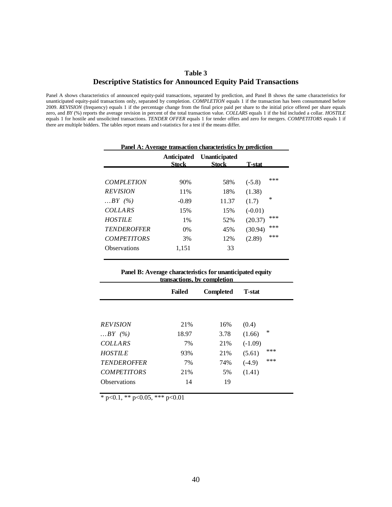# **Table 3 Descriptive Statistics for Announced Equity Paid Transactions**

Panel A shows characteristics of announced equity-paid transactions, separated by prediction, and Panel B shows the same characteristics for unanticipated equity-paid transactions only, separated by completion. *COMPLETION* equals 1 if the transaction has been consummated before 2009. *REVISION* (frequency) equals 1 if the percentage change from the final price paid per share to the initial price offered per share equals zero, and *BY* (%) reports the average revision in percent of the total transaction value. *COLLARS* equals 1 if the bid included a collar. *HOSTILE* equals 1 for hostile and unsolicited transactions. *TENDER OFFER* equals 1 for tender offers and zero for mergers. *COMPETITORS* equals 1 if there are multiple bidders. The tables report means and t-statistics for a test if the means differ.

|                     | Anticipated<br><b>Stock</b> | <b>Unanticipated</b><br><b>Stock</b> | T-stat             |        |
|---------------------|-----------------------------|--------------------------------------|--------------------|--------|
| <b>COMPLETION</b>   | 90%                         | 58%                                  |                    | ***    |
| <b>REVISION</b>     | 11%                         | 18%                                  | $(-5.8)$<br>(1.38) |        |
| BY (%)              | $-0.89$                     | 11.37                                | (1.7)              | $\ast$ |
| <b>COLLARS</b>      | 15%                         | 15%                                  | $(-0.01)$          |        |
| <b>HOSTILE</b>      | $1\%$                       | 52%                                  | (20.37)            | ***    |
| <b>TENDEROFFER</b>  | $0\%$                       | 45%                                  | (30.94)            | ***    |
| <b>COMPETITORS</b>  | 3%                          | 12%                                  | (2.89)             | ***    |
| <b>Observations</b> | 1,151                       | 33                                   |                    |        |

#### **Panel A: Average transaction characteristics by prediction**

**Panel B: Average characteristics for unanticipated equity transactions, by completion**

|                    | ианзасионз, от сонпрісион |                  |                |        |
|--------------------|---------------------------|------------------|----------------|--------|
|                    | <b>Failed</b>             | <b>Completed</b> | <b>T</b> -stat |        |
|                    |                           |                  |                |        |
| <b>REVISION</b>    | 21%                       | 16%              | (0.4)          |        |
| BY (%)             | 18.97                     | 3.78             | (1.66)         | $\ast$ |
| <b>COLLARS</b>     | 7%                        | 21%              | $(-1.09)$      |        |
| <b>HOSTILE</b>     | 93%                       | 21%              | (5.61)         | ***    |
| <b>TENDEROFFER</b> | 7%                        | 74%              | $(-4.9)$       | ***    |
| <b>COMPETITORS</b> | 21%                       | 5%               | (1.41)         |        |
| Observations       | 14                        | 19               |                |        |
|                    |                           |                  |                |        |

 $*$  p<0.1,  $*$  p<0.05,  $*$  + p<0.01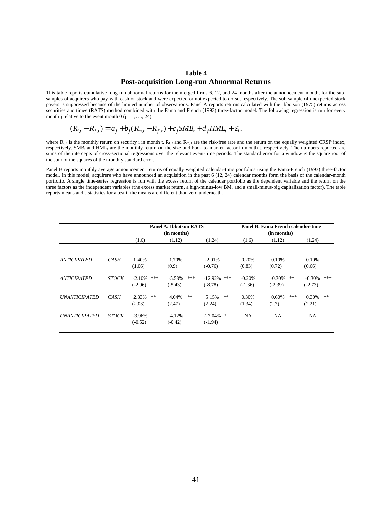# **Table 4 Post-acquisition Long-run Abnormal Returns**

This table reports cumulative long-run abnormal returns for the merged firms 6, 12, and 24 months after the announcement month, for the subsamples of acquirers who pay with cash or stock and were expected or not expected to do so, respectively. The sub-sample of unexpected stock payers is suppressed because of the limited number of observations. Panel A reports returns calculated with the Ibbotson (1975) returns across securities and times (RATS) method combined with the Fama and French (1993) three-factor model. The following regression is run for every month j relative to the event month  $0$  (j = 1,..., 24):

$$
(R_{i,t} - R_{f,t}) = a_j + b_j (R_{m,t} - R_{f,t}) + c_j SMB_t + d_j HML_t + \varepsilon_{i,t},
$$

where  $R_{i,t}$  is the monthly return on security i in month t.  $R_{i,t}$  and  $R_{m,t}$  are the risk-free rate and the return on the equally weighted CRSP index, respectively. SMB<sub>t</sub> and HML<sub>t</sub> are the monthly return on the size and book-to-market factor in month t, respectively. The numbers reported are sums of the intercepts of cross-sectional regressions over the relevant event-time periods. The standard error for a window is the square root of the sum of the squares of the monthly standard error.

Panel B reports monthly average announcement returns of equally weighted calendar-time portfolios using the Fama-French (1993) three-factor model. In this model, acquirers who have announced an acquisition in the past 6 (12, 24) calendar months form the basis of the calendar-month portfolio. A single time-series regression is run with the excess return of the calendar portfolio as the dependent variable and the return on the three factors as the independent variables (the excess market return, a high-minus-low BM, and a small-minus-big capitalization factor). The table reports means and t-statistics for a test if the means are different than zero underneath.

|                      |              |                              | <b>Panel A: Ibbotson RATS</b><br>(in months) |                                | Panel B: Fama French calender-time<br>(in months) |                             |                              |  |  |  |
|----------------------|--------------|------------------------------|----------------------------------------------|--------------------------------|---------------------------------------------------|-----------------------------|------------------------------|--|--|--|
|                      |              | (1,6)                        | (1,12)                                       | (1,24)                         | (1,6)                                             | (1,12)                      | (1,24)                       |  |  |  |
| <b>ANTICIPATED</b>   | CASH         | 1.40%<br>(1.06)              | 1.70%<br>(0.9)                               | $-2.01%$<br>$(-0.76)$          | 0.20%<br>(0.83)                                   | 0.10%<br>(0.72)             | 0.10%<br>(0.66)              |  |  |  |
| <b>ANTICIPATED</b>   | <b>STOCK</b> | $-2.10%$<br>***<br>$(-2.96)$ | $-5.53\%$<br>***<br>$(-5.43)$                | $-12.92\%$<br>***<br>$(-8.78)$ | $-0.20%$<br>$(-1.36)$                             | **<br>$-0.30%$<br>$(-2.39)$ | ***<br>$-0.30%$<br>$(-2.73)$ |  |  |  |
| <b>UNANTICIPATED</b> | CASH         | **<br>2.33%<br>(2.03)        | **<br>4.04%<br>(2.47)                        | **<br>5.15%<br>(2.24)          | 0.30%<br>(1.34)                                   | ***<br>0.60%<br>(2.7)       | 0.30%<br>**<br>(2.21)        |  |  |  |
| <b>UNANTICIPATED</b> | <b>STOCK</b> | $-3.96\%$<br>$(-0.52)$       | $-4.12%$<br>$(-0.42)$                        | $-27.04\%$ *<br>$(-1.94)$      | <b>NA</b>                                         | NA                          | <b>NA</b>                    |  |  |  |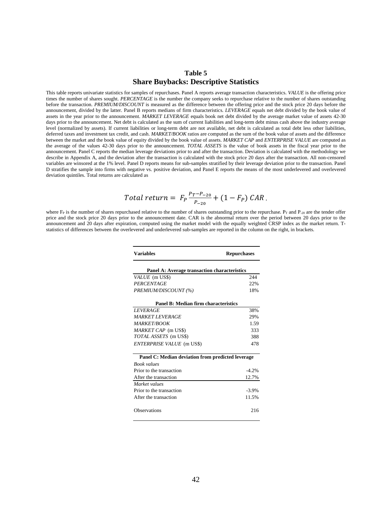## **Table 5 Share Buybacks: Descriptive Statistics**

This table reports univariate statistics for samples of repurchases. Panel A reports average transaction characteristics. *VALUE* is the offering price times the number of shares sought. *PERCENTAGE* is the number the company seeks to repurchase relative to the number of shares outstanding before the transaction. *PREMIUM/DISCOUNT* is measured as the difference between the offering price and the stock price 20 days before the announcement, divided by the latter. Panel B reports medians of firm characteristics. *LEVERAGE* equals net debt divided by the book value of assets in the year prior to the announcement. *MARKET LEVERAGE* equals book net debt divided by the average market value of assets 42-30 days prior to the announcement. Net debt is calculated as the sum of current liabilities and long-term debt minus cash above the industry average level (normalized by assets). If current liabilities or long-term debt are not available, net debt is calculated as total debt less other liabilities, deferred taxes and investment tax credit, and cash. *MARKET/BOOK* ratios are computed as the sum of the book value of assets and the difference between the market and the book value of equity divided by the book value of assets. *MARKET CAP* and *ENTERPRISE VALUE* are computed as the average of the values 42-30 days prior to the announcement. *TOTAL ASSETS* is the value of book assets in the fiscal year prior to the announcement. Panel C reports the median leverage deviations prior to and after the transaction. Deviation is calculated with the methodology we describe in Appendix A, and the deviation after the transaction is calculated with the stock price 20 days after the transaction. All non-censored variables are winsored at the 1% level. Panel D reports means for sub-samples stratified by their leverage deviation prior to the transaction. Panel D stratifies the sample into firms with negative vs. positive deviation, and Panel E reports the means of the most underlevered and overlevered deviation quintiles. Total returns are calculated as

Total return = 
$$
F_P \frac{P_T - P_{-20}}{P_{-20}} + (1 - F_P) CAR
$$
.

where  $F_P$  is the number of shares repurchased relative to the number of shares outstanding prior to the repurchase.  $P_T$  and  $P_{-20}$  are the tender offer price and the stock price 20 days prior to the announcement date. CAR is the abnormal return over the period between 20 days prior to the announcement and 20 days after expiration, computed using the market model with the equally weighted CRSP index as the market return. Tstatistics of differences between the overlevered and underlevered sub-samples are reported in the column on the right, in brackets.

| <b>Variables</b>                                  | <b>Repurchases</b> |
|---------------------------------------------------|--------------------|
| Panel A: Average transaction characteristics      |                    |
| VALUE (m US\$)                                    | 244                |
| PERCENTAGE                                        | 22%                |
| PREMIUM/DISCOUNT (%)                              | 18%                |
| Panel B: Median firm characteristics              |                    |
| <b>LEVERAGE</b>                                   | 38%                |
| <b>MARKET LEVERAGE</b>                            | 29%                |
| <b>MARKET/BOOK</b>                                | 1.59               |
| MARKET CAP (m US\$)                               | 333                |
| TOTAL ASSETS (m US\$)                             | 388                |
| <b>ENTERPRISE VALUE</b> (m US\$)                  | 478                |
| Panel C: Median deviation from predicted leverage |                    |
| <b>Book</b> values                                |                    |
| Prior to the transaction                          | $-4.2%$            |
| After the transaction                             | 12.7%              |
| Market values                                     |                    |
| Prior to the transaction                          | $-3.9\%$           |
| After the transaction                             | 11.5%              |
| Observations                                      | 216                |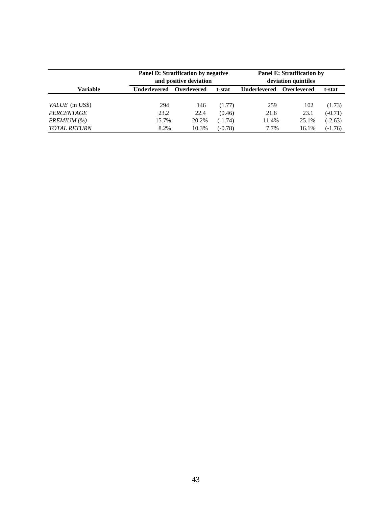|                     |                     | Panel D: Stratification by negative<br>and positive deviation | <b>Panel E: Stratification by</b><br>deviation quintiles |                     |             |           |  |
|---------------------|---------------------|---------------------------------------------------------------|----------------------------------------------------------|---------------------|-------------|-----------|--|
| <b>Variable</b>     | <b>Underlevered</b> | Overlevered                                                   | t-stat                                                   | <b>Underlevered</b> | Overlevered | t-stat    |  |
| VALUE (m US\$)      | 294                 | 146                                                           | (1.77)                                                   | 259                 | 102         | (1.73)    |  |
| PERCENTAGE          | 23.2                | 22.4                                                          | (0.46)                                                   | 21.6                | 23.1        | $(-0.71)$ |  |
| PREMIUM (%)         | 15.7%               | 20.2%                                                         | $(-1.74)$                                                | 11.4%               | 25.1%       | $(-2.63)$ |  |
| <b>TOTAL RETURN</b> | 8.2%                | 10.3%                                                         | $(-0.78)$                                                | 7.7%                | 16.1%       | $(-1.76)$ |  |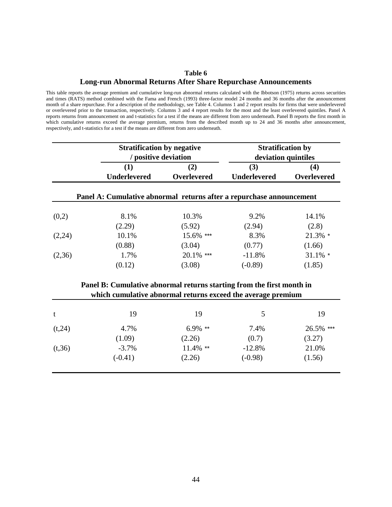## **Table 6 Long-run Abnormal Returns After Share Repurchase Announcements**

This table reports the average premium and cumulative long-run abnormal returns calculated with the Ibbotson (1975) returns across securities and times (RATS) method combined with the Fama and French (1993) three-factor model 24 months and 36 months after the announcement month of a share repurchase. For a description of the methodology, see Table 4. Columns 1 and 2 report results for firms that were underlevered or overlevered prior to the transaction, respectively. Columns 3 and 4 report results for the most and the least overlevered quintiles. Panel A reports returns from announcement on and t-statistics for a test if the means are different from zero underneath. Panel B reports the first month in which cumulative returns exceed the average premium, returns from the described month up to 24 and 36 months after announcement, respectively, and t-statistics for a test if the means are different from zero underneath.

|                                                                      | <b>Stratification by negative</b><br>/ positive deviation             |                    | <b>Stratification by</b><br>deviation quintiles |             |  |  |  |  |  |  |  |
|----------------------------------------------------------------------|-----------------------------------------------------------------------|--------------------|-------------------------------------------------|-------------|--|--|--|--|--|--|--|
|                                                                      | (1)                                                                   | (2)                | (3)                                             | (4)         |  |  |  |  |  |  |  |
|                                                                      | <b>Underlevered</b>                                                   | <b>Overlevered</b> | <b>Underlevered</b>                             | Overlevered |  |  |  |  |  |  |  |
| Panel A: Cumulative abnormal returns after a repurchase announcement |                                                                       |                    |                                                 |             |  |  |  |  |  |  |  |
| (0,2)                                                                | 8.1%                                                                  | 10.3%              | 9.2%                                            | 14.1%       |  |  |  |  |  |  |  |
|                                                                      | (2.29)                                                                | (5.92)             | (2.94)                                          | (2.8)       |  |  |  |  |  |  |  |
| (2,24)                                                               | 10.1%                                                                 | 15.6% ***          | 8.3%                                            | $21.3\%$ *  |  |  |  |  |  |  |  |
|                                                                      | (0.88)                                                                | (3.04)             | (0.77)                                          | (1.66)      |  |  |  |  |  |  |  |
| (2,36)                                                               | 1.7%                                                                  | 20.1% ***          | $-11.8%$                                        | $31.1\%$ *  |  |  |  |  |  |  |  |
|                                                                      | (0.12)                                                                | (3.08)             | $(-0.89)$                                       | (1.85)      |  |  |  |  |  |  |  |
|                                                                      | Panel B: Cumulative abnormal returns starting from the first month in |                    |                                                 |             |  |  |  |  |  |  |  |
|                                                                      | which cumulative abnormal returns exceed the average premium          |                    |                                                 |             |  |  |  |  |  |  |  |
| t                                                                    | 19                                                                    | 19                 | 5                                               | 19          |  |  |  |  |  |  |  |
| (t, 24)                                                              | 4.7%                                                                  | $6.9\%$ **         | 7.4%                                            | 26.5% ***   |  |  |  |  |  |  |  |
|                                                                      | (1.09)                                                                | (2.26)             | (0.7)                                           | (3.27)      |  |  |  |  |  |  |  |
| (t, 36)                                                              | $-3.7%$                                                               | $11.4\%$ **        | $-12.8%$                                        | 21.0%       |  |  |  |  |  |  |  |
|                                                                      | $(-0.41)$                                                             | (2.26)             | $(-0.98)$                                       | (1.56)      |  |  |  |  |  |  |  |
|                                                                      |                                                                       |                    |                                                 |             |  |  |  |  |  |  |  |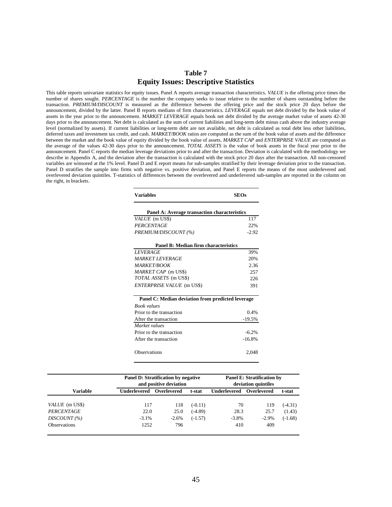## **Table 7 Equity Issues: Descriptive Statistics**

This table reports univariate statistics for equity issues. Panel A reports average transaction characteristics. *VALUE* is the offering price times the number of shares sought. *PERCENTAGE* is the number the company seeks to issue relative to the number of shares outstanding before the transaction. *PREMIUM/DISCOUNT* is measured as the difference between the offering price and the stock price 20 days before the announcement, divided by the latter. Panel B reports medians of firm characteristics. *LEVERAGE* equals net debt divided by the book value of assets in the year prior to the announcement. *MARKET LEVERAGE* equals book net debt divided by the average market value of assets 42-30 days prior to the announcement. Net debt is calculated as the sum of current liabilities and long-term debt minus cash above the industry average level (normalized by assets). If current liabilities or long-term debt are not available, net debt is calculated as total debt less other liabilities, deferred taxes and investment tax credit, and cash. *MARKET/BOOK* ratios are computed as the sum of the book value of assets and the difference between the market and the book value of equity divided by the book value of assets. *MARKET CAP* and *ENTERPRISE VALUE* are computed as the average of the values 42-30 days prior to the announcement. *TOTAL ASSETS* is the value of book assets in the fiscal year prior to the announcement. Panel C reports the median leverage deviations prior to and after the transaction. Deviation is calculated with the methodology we describe in Appendix A, and the deviation after the transaction is calculated with the stock price 20 days after the transaction. All non-censored variables are winsored at the 1% level. Panel D and E report means for sub-samples stratified by their leverage deviation prior to the transaction. Panel D stratifies the sample into firms with negative vs. positive deviation, and Panel E reports the means of the most underlevered and overlevered deviation quintiles. T-statistics of differences between the overlevered and underlevered sub-samples are reported in the column on the right, in brackets.

| <b>Variables</b>                                  | <b>SEOs</b> |  |  |  |  |  |  |  |
|---------------------------------------------------|-------------|--|--|--|--|--|--|--|
| Panel A: Average transaction characteristics      |             |  |  |  |  |  |  |  |
| <i>VALUE</i> (m US\$)                             | 117         |  |  |  |  |  |  |  |
| PERCENTAGE                                        | 22%         |  |  |  |  |  |  |  |
| PREMIUM/DISCOUNT (%)                              | $-2.92$     |  |  |  |  |  |  |  |
| Panel B: Median firm characteristics              |             |  |  |  |  |  |  |  |
| <b>LEVERAGE</b>                                   | 39%         |  |  |  |  |  |  |  |
| <b>MARKET LEVERAGE</b>                            | 20%         |  |  |  |  |  |  |  |
| <b>MARKET/BOOK</b>                                | 2.36        |  |  |  |  |  |  |  |
| MARKET CAP (m US\$)                               | 257         |  |  |  |  |  |  |  |
| TOTAL ASSETS (m US\$)                             | 226         |  |  |  |  |  |  |  |
| <b>ENTERPRISE VALUE</b> (m US\$)                  | 391         |  |  |  |  |  |  |  |
| Panel C: Median deviation from predicted leverage |             |  |  |  |  |  |  |  |
| <b>Book</b> values                                |             |  |  |  |  |  |  |  |
| Prior to the transaction                          | 0.4%        |  |  |  |  |  |  |  |
| After the transaction                             | $-19.5%$    |  |  |  |  |  |  |  |
| Market values                                     |             |  |  |  |  |  |  |  |
| Prior to the transaction                          | $-6.2%$     |  |  |  |  |  |  |  |
| After the transaction                             | $-16.8%$    |  |  |  |  |  |  |  |
| Observations                                      | 2,048       |  |  |  |  |  |  |  |

|                       |              | Panel D: Stratification by negative<br>and positive deviation | Panel E: Stratification by<br>deviation quintiles |                     |             |           |  |
|-----------------------|--------------|---------------------------------------------------------------|---------------------------------------------------|---------------------|-------------|-----------|--|
| Variable              | Underlevered | Overlevered                                                   | t-stat                                            | <b>Underlevered</b> | Overlevered | t-stat    |  |
| <i>VALUE</i> (m US\$) | 117          | 118                                                           | $(-0.11)$                                         | 70                  | 119         | $(-4.31)$ |  |
| PERCENTAGE            | 22.0         | 25.0                                                          | $(-4.89)$                                         | 28.3                | 25.7        | (1.43)    |  |
| $DISCOUNT \, (\%)$    | $-3.1%$      | $-2.6%$                                                       | $(-1.57)$                                         | $-3.8\%$            | $-2.9\%$    | $(-1.68)$ |  |
| <b>Observations</b>   | 1252         | 796                                                           |                                                   | 410                 | 409         |           |  |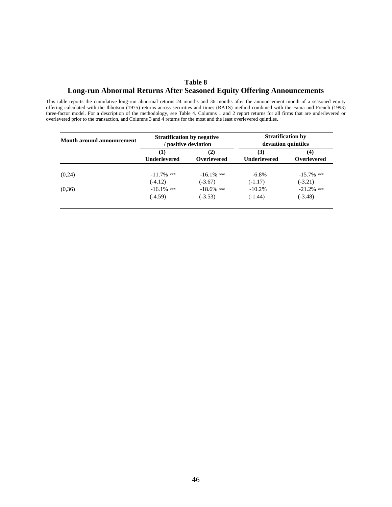# **Table 8 Long-run Abnormal Returns After Seasoned Equity Offering Announcements**

This table reports the cumulative long-run abnormal returns 24 months and 36 months after the announcement month of a seasoned equity offering calculated with the Ibbotson (1975) returns across securities and times (RATS) method combined with the Fama and French (1993) three-factor model. For a description of the methodology, see Table 4. Columns 1 and 2 report returns for all firms that are underlevered or overlevered prior to the transaction, and Columns 3 and 4 returns for the most and the least overlevered quintiles.

| <b>Month around announcement</b> | <b>Stratification by negative</b> | positive deviation | <b>Stratification by</b><br>deviation quintiles |                           |  |  |
|----------------------------------|-----------------------------------|--------------------|-------------------------------------------------|---------------------------|--|--|
|                                  | (1)<br><b>Underlevered</b>        | (2)<br>Overlevered | (3)<br><b>Underlevered</b>                      | (4)<br><b>Overlevered</b> |  |  |
| (0,24)                           | $-11.7\%$ ***                     | $-16.1\%$ ***      | $-6.8\%$                                        | $-15.7\%$ ***             |  |  |
|                                  | $(-4.12)$                         | $(-3.67)$          | $(-1.17)$                                       | $(-3.21)$                 |  |  |
| (0,36)                           | $-16.1\%$ ***                     | $-18.6\%$ ***      | $-10.2\%$                                       | $-21.2%$ ***              |  |  |
|                                  | $(-4.59)$                         | $(-3.53)$          | $(-1.44)$                                       | $(-3.48)$                 |  |  |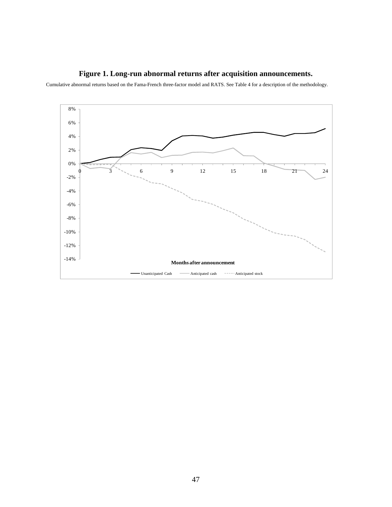

Cumulative abnormal returns based on the Fama-French three-factor model and RATS. See Table 4 for a description of the methodology.

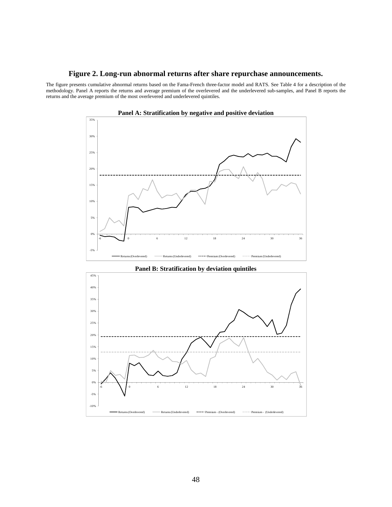### **Figure 2. Long-run abnormal returns after share repurchase announcements.**

The figure presents cumulative abnormal returns based on the Fama-French three-factor model and RATS. See Table 4 for a description of the methodology. Panel A reports the returns and average premium of the overlevered and the underlevered sub-samples, and Panel B reports the returns and the average premium of the most overlevered and underlevered quintiles.



**Panel A: Stratification by negative and positive deviation** 



**Panel B: Stratification by deviation quintiles**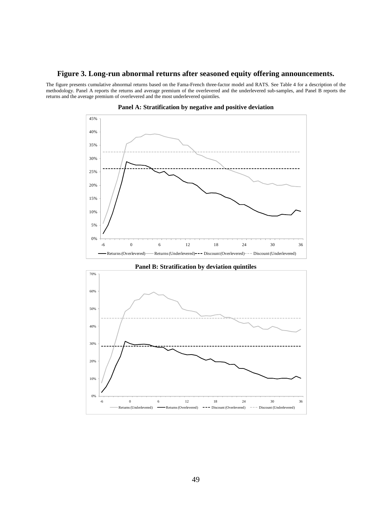#### **Figure 3. Long-run abnormal returns after seasoned equity offering announcements.**

The figure presents cumulative abnormal returns based on the Fama-French three-factor model and RATS. See Table 4 for a description of the methodology. Panel A reports the returns and average premium of the overlevered and the underlevered sub-samples, and Panel B reports the returns and the average premium of overlevered and the most underlevered quintiles.







**Panel B: Stratification by deviation quintiles**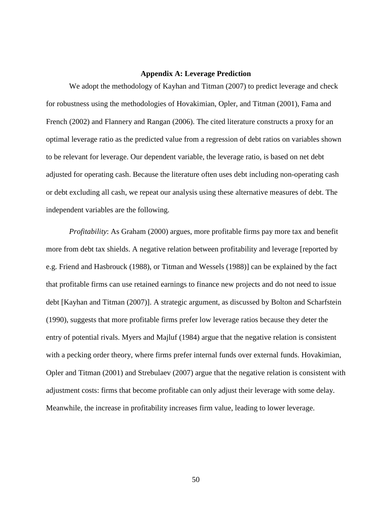## **Appendix A: Leverage Prediction**

We adopt the methodology of Kayhan and Titman (2007) to predict leverage and check for robustness using the methodologies of Hovakimian, Opler, and Titman (2001), Fama and French (2002) and Flannery and Rangan (2006). The cited literature constructs a proxy for an optimal leverage ratio as the predicted value from a regression of debt ratios on variables shown to be relevant for leverage. Our dependent variable, the leverage ratio, is based on net debt adjusted for operating cash. Because the literature often uses debt including non-operating cash or debt excluding all cash, we repeat our analysis using these alternative measures of debt. The independent variables are the following.

*Profitability*: As Graham (2000) argues, more profitable firms pay more tax and benefit more from debt tax shields. A negative relation between profitability and leverage [reported by e.g. Friend and Hasbrouck (1988), or Titman and Wessels (1988)] can be explained by the fact that profitable firms can use retained earnings to finance new projects and do not need to issue debt [Kayhan and Titman (2007)]. A strategic argument, as discussed by Bolton and Scharfstein (1990), suggests that more profitable firms prefer low leverage ratios because they deter the entry of potential rivals. Myers and Majluf (1984) argue that the negative relation is consistent with a pecking order theory, where firms prefer internal funds over external funds. Hovakimian, Opler and Titman (2001) and Strebulaev (2007) argue that the negative relation is consistent with adjustment costs: firms that become profitable can only adjust their leverage with some delay. Meanwhile, the increase in profitability increases firm value, leading to lower leverage.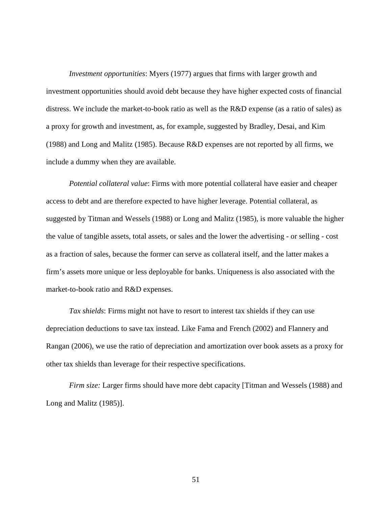*Investment opportunities*: Myers (1977) argues that firms with larger growth and investment opportunities should avoid debt because they have higher expected costs of financial distress. We include the market-to-book ratio as well as the R&D expense (as a ratio of sales) as a proxy for growth and investment, as, for example, suggested by Bradley, Desai, and Kim (1988) and Long and Malitz (1985). Because R&D expenses are not reported by all firms, we include a dummy when they are available.

*Potential collateral value*: Firms with more potential collateral have easier and cheaper access to debt and are therefore expected to have higher leverage. Potential collateral, as suggested by Titman and Wessels (1988) or Long and Malitz (1985), is more valuable the higher the value of tangible assets, total assets, or sales and the lower the advertising - or selling - cost as a fraction of sales, because the former can serve as collateral itself, and the latter makes a firm's assets more unique or less deployable for banks. Uniqueness is also associated with the market-to-book ratio and R&D expenses.

*Tax shields*: Firms might not have to resort to interest tax shields if they can use depreciation deductions to save tax instead. Like Fama and French (2002) and Flannery and Rangan (2006), we use the ratio of depreciation and amortization over book assets as a proxy for other tax shields than leverage for their respective specifications.

*Firm size:* Larger firms should have more debt capacity [Titman and Wessels (1988) and Long and Malitz (1985)].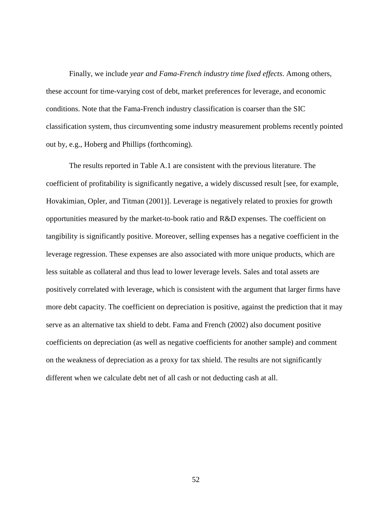Finally, we include *year and Fama-French industry time fixed effects*. Among others, these account for time-varying cost of debt, market preferences for leverage, and economic conditions. Note that the Fama-French industry classification is coarser than the SIC classification system, thus circumventing some industry measurement problems recently pointed out by, e.g., Hoberg and Phillips (forthcoming).

The results reported in Table A.1 are consistent with the previous literature. The coefficient of profitability is significantly negative, a widely discussed result [see, for example, Hovakimian, Opler, and Titman (2001)]. Leverage is negatively related to proxies for growth opportunities measured by the market-to-book ratio and R&D expenses. The coefficient on tangibility is significantly positive. Moreover, selling expenses has a negative coefficient in the leverage regression. These expenses are also associated with more unique products, which are less suitable as collateral and thus lead to lower leverage levels. Sales and total assets are positively correlated with leverage, which is consistent with the argument that larger firms have more debt capacity. The coefficient on depreciation is positive, against the prediction that it may serve as an alternative tax shield to debt. Fama and French (2002) also document positive coefficients on depreciation (as well as negative coefficients for another sample) and comment on the weakness of depreciation as a proxy for tax shield. The results are not significantly different when we calculate debt net of all cash or not deducting cash at all.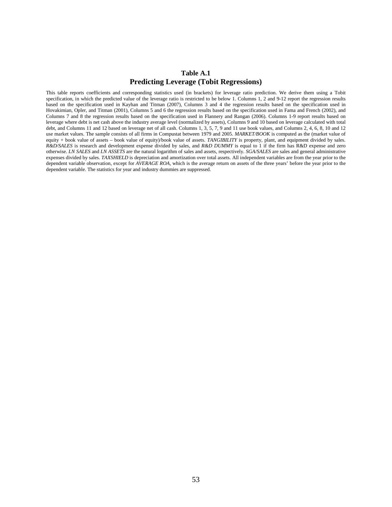## **Table A.1 Predicting Leverage (Tobit Regressions)**

This table reports coefficients and corresponding statistics used (in brackets) for leverage ratio prediction. We derive them using a Tobit specification, in which the predicted value of the leverage ratio is restricted to be below 1. Columns 1, 2 and 9-12 report the regression results based on the specification used in Kayhan and Titman (2007), Columns 3 and 4 the regression results based on the specification used in Hovakimian, Opler, and Titman (2001), Columns 5 and 6 the regression results based on the specification used in Fama and French (2002), and Columns 7 and 8 the regression results based on the specification used in Flannery and Rangan (2006). Columns 1-9 report results based on leverage where debt is net cash above the industry average level (normalized by assets), Columns 9 and 10 based on leverage calculated with total debt, and Columns 11 and 12 based on leverage net of all cash. Columns 1, 3, 5, 7, 9 and 11 use book values, and Columns 2, 4, 6, 8, 10 and 12 use market values. The sample consists of all firms in Compustat between 1979 and 2005. *MARKET/BOOK* is computed as the (market value of equity + book value of assets – book value of equity)/book value of assets. *TANGIBILITY* is property, plant, and equipment divided by sales. *R&D/SALES* is research and development expense divided by sales, and *R&D DUMMY* is equal to 1 if the firm has R&D expense and zero otherwise. *LN SALES* and *LN ASSETS* are the natural logarithm of sales and assets, respectively. *SGA/SALES* are sales and general administrative expenses divided by sales. *TAXSHIELD* is depreciation and amortization over total assets. All independent variables are from the year prior to the dependent variable observation, except for *AVERAGE ROA,* which is the average return on assets of the three years' before the year prior to the dependent variable. The statistics for year and industry dummies are suppressed.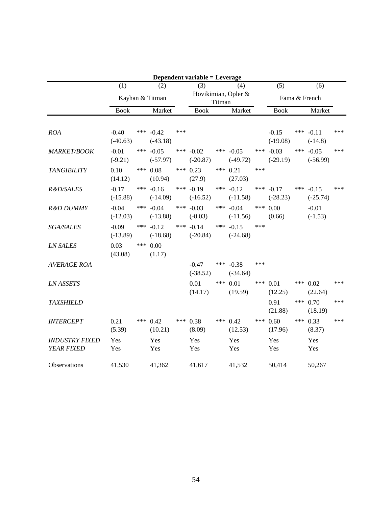|                                     | Dependent variable = Leverage |                 |                           |     |                           |                               |                           |     |                       |     |                           |     |
|-------------------------------------|-------------------------------|-----------------|---------------------------|-----|---------------------------|-------------------------------|---------------------------|-----|-----------------------|-----|---------------------------|-----|
|                                     | (1)                           |                 | (2)                       |     | (3)                       |                               | (4)                       |     | (5)                   |     | (6)                       |     |
|                                     |                               | Kayhan & Titman |                           |     |                           | Hovikimian, Opler &<br>Titman |                           |     |                       |     | Fama & French             |     |
|                                     | <b>Book</b>                   |                 | Market                    |     | <b>Book</b>               |                               | Market                    |     | <b>Book</b>           |     | Market                    |     |
| <b>ROA</b>                          | $-0.40$<br>$(-40.63)$         |                 | *** $-0.42$<br>$(-43.18)$ | *** |                           |                               |                           |     | $-0.15$<br>$(-19.08)$ |     | *** $-0.11$<br>$(-14.8)$  | *** |
| <b>MARKET/BOOK</b>                  | $-0.01$<br>$(-9.21)$          | ***             | $-0.05$<br>$(-57.97)$     | *** | $-0.02$<br>$(-20.87)$     |                               | *** $-0.05$<br>$(-49.72)$ | *** | $-0.03$<br>$(-29.19)$ | *** | $-0.05$<br>$(-56.99)$     | *** |
| <b>TANGIBILITY</b>                  | 0.10<br>(14.12)               | ***             | 0.08<br>(10.94)           |     | *** $0.23$<br>(27.9)      |                               | *** $0.21$<br>(27.03)     | *** |                       |     |                           |     |
| R&D/SALES                           | $-0.17$<br>$(-15.88)$         | ***             | $-0.16$<br>$(-14.09)$     |     | *** $-0.19$<br>$(-16.52)$ |                               | *** $-0.12$<br>$(-11.58)$ | *** | $-0.17$<br>$(-28.23)$ |     | *** $-0.15$<br>$(-25.74)$ | *** |
| R&D DUMMY                           | $-0.04$<br>$(-12.03)$         |                 | *** $-0.04$<br>$(-13.88)$ |     | *** $-0.03$<br>$(-8.03)$  |                               | *** $-0.04$<br>$(-11.56)$ |     | *** $0.00$<br>(0.66)  |     | $-0.01$<br>$(-1.53)$      |     |
| SGA/SALES                           | $-0.09$<br>$(-13.89)$         | ***             | $-0.12$<br>$(-18.68)$     | *** | $-0.14$<br>$(-20.84)$     | ***                           | $-0.15$<br>$(-24.68)$     | *** |                       |     |                           |     |
| <b>LN SALES</b>                     | 0.03<br>(43.08)               | ***             | 0.00<br>(1.17)            |     |                           |                               |                           |     |                       |     |                           |     |
| <b>AVERAGE ROA</b>                  |                               |                 |                           |     | $-0.47$<br>$(-38.52)$     |                               | *** $-0.38$<br>$(-34.64)$ | *** |                       |     |                           |     |
| <b>LN ASSETS</b>                    |                               |                 |                           |     | 0.01<br>(14.17)           |                               | *** $0.01$<br>(19.59)     |     | *** 0.01<br>(12.25)   |     | *** $0.02$<br>(22.64)     | *** |
| <b>TAXSHIELD</b>                    |                               |                 |                           |     |                           |                               |                           |     | 0.91<br>(21.88)       |     | *** $0.70$<br>(18.19)     | *** |
| <b>INTERCEPT</b>                    | 0.21<br>(5.39)                | ***             | 0.42<br>(10.21)           | *** | 0.38<br>(8.09)            | ***                           | 0.42<br>(12.53)           | *** | 0.60<br>(17.96)       |     | *** $0.33$<br>(8.37)      | *** |
| <b>INDUSTRY FIXED</b><br>YEAR FIXED | Yes<br>Yes                    |                 | Yes<br>Yes                |     | Yes<br>Yes                |                               | Yes<br>Yes                |     | Yes<br>Yes            |     | Yes<br>Yes                |     |
| Observations                        | 41,530                        |                 | 41,362                    |     | 41,617                    |                               | 41,532                    |     | 50,414                |     | 50,267                    |     |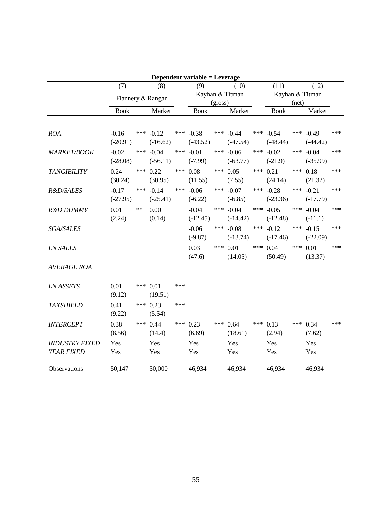|                                     |                       |     |                       |     | Dependent variable = Leverage |     |                           |     |                           |     |                           |     |
|-------------------------------------|-----------------------|-----|-----------------------|-----|-------------------------------|-----|---------------------------|-----|---------------------------|-----|---------------------------|-----|
|                                     | (7)                   |     | (8)                   |     | (9)                           |     | (10)                      |     | (11)                      |     | (12)                      |     |
|                                     |                       |     | Flannery & Rangan     |     |                               |     | Kayhan & Titman           |     |                           |     | Kayhan & Titman           |     |
|                                     |                       |     |                       |     | (gross)                       |     |                           |     | (net)                     |     |                           |     |
|                                     | <b>Book</b>           |     | Market                |     | <b>Book</b>                   |     | Market                    |     | <b>Book</b>               |     | Market                    |     |
| <b>ROA</b>                          | $-0.16$<br>$(-20.91)$ | *** | $-0.12$<br>$(-16.62)$ |     | *** $-0.38$<br>$(-43.52)$     |     | *** $-0.44$<br>$(-47.54)$ | *** | $-0.54$<br>$(-48.44)$     | *** | $-0.49$<br>$(-44.42)$     | *** |
| MARKET/BOOK                         | $-0.02$<br>$(-28.08)$ | *** | $-0.04$<br>$(-56.11)$ | *** | $-0.01$<br>$(-7.99)$          | *** | $-0.06$<br>$(-63.77)$     | *** | $-0.02$<br>$(-21.9)$      | *** | $-0.04$<br>$(-35.99)$     | *** |
| <b>TANGIBILITY</b>                  | 0.24<br>(30.24)       | *** | 0.22<br>(30.95)       | *** | 0.08<br>(11.55)               |     | *** $0.05$<br>(7.55)      | *** | 0.21<br>(24.14)           |     | *** $0.18$<br>(21.32)     | *** |
| R&D/SALES                           | $-0.17$<br>$(-27.95)$ | *** | $-0.14$<br>$(-25.41)$ | *** | $-0.06$<br>$(-6.22)$          |     | *** $-0.07$<br>$(-6.85)$  | *** | $-0.28$<br>$(-23.36)$     | *** | $-0.21$<br>$(-17.79)$     | *** |
| R&D DUMMY                           | 0.01<br>(2.24)        | **  | 0.00<br>(0.14)        |     | $-0.04$<br>$(-12.45)$         |     | *** $-0.04$<br>$(-14.42)$ |     | *** $-0.05$<br>$(-12.48)$ |     | *** $-0.04$<br>$(-11.1)$  | *** |
| <b>SGA/SALES</b>                    |                       |     |                       |     | $-0.06$<br>$(-9.87)$          |     | *** $-0.08$<br>$(-13.74)$ | *** | $-0.12$<br>$(-17.46)$     |     | *** $-0.15$<br>$(-22.09)$ | *** |
| <b>LN SALES</b>                     |                       |     |                       |     | 0.03<br>(47.6)                | *** | 0.01<br>(14.05)           | *** | 0.04<br>(50.49)           | *** | 0.01<br>(13.37)           | *** |
| <b>AVERAGE ROA</b>                  |                       |     |                       |     |                               |     |                           |     |                           |     |                           |     |
| <b>LN ASSETS</b>                    | 0.01<br>(9.12)        | *** | 0.01<br>(19.51)       | *** |                               |     |                           |     |                           |     |                           |     |
| <b>TAXSHIELD</b>                    | 0.41<br>(9.22)        | *** | 0.23<br>(5.54)        | *** |                               |     |                           |     |                           |     |                           |     |
| <b>INTERCEPT</b>                    | 0.38<br>(8.56)        | *** | 0.44<br>(14.4)        | *** | 0.23<br>(6.69)                | *** | 0.64<br>(18.61)           | *** | 0.13<br>(2.94)            | *** | 0.34<br>(7.62)            | *** |
| <b>INDUSTRY FIXED</b><br>YEAR FIXED | Yes<br>Yes            |     | Yes<br>Yes            |     | Yes<br>Yes                    |     | Yes<br>Yes                |     | Yes<br>Yes                |     | Yes<br>Yes                |     |
| Observations                        | 50,147                |     | 50,000                |     | 46,934                        |     | 46,934                    |     | 46,934                    |     | 46,934                    |     |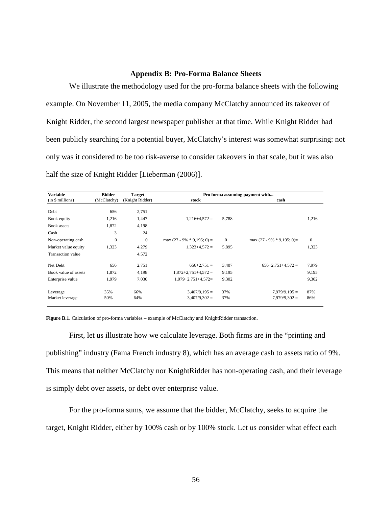## **Appendix B: Pro-Forma Balance Sheets**

We illustrate the methodology used for the pro-forma balance sheets with the following example. On November 11, 2005, the media company McClatchy announced its takeover of Knight Ridder, the second largest newspaper publisher at that time. While Knight Ridder had been publicly searching for a potential buyer, McClatchy's interest was somewhat surprising: not only was it considered to be too risk-averse to consider takeovers in that scale, but it was also half the size of Knight Ridder [Lieberman (2006)].

| <b>Variable</b>          | <b>Bidder</b> | <b>Target</b>   | Pro forma assuming payment with |          |                             |          |  |  |  |
|--------------------------|---------------|-----------------|---------------------------------|----------|-----------------------------|----------|--|--|--|
| (in \$ millions)         | (McClatchy)   | (Knight Ridder) | stock                           |          | cash                        |          |  |  |  |
| Debt                     | 656           | 2,751           |                                 |          |                             |          |  |  |  |
| Book equity              | 1,216         | 1,447           | $1,216+4,572=$                  | 5,788    |                             | 1,216    |  |  |  |
| Book assets              | 1,872         | 4,198           |                                 |          |                             |          |  |  |  |
| Cash                     | 3             | 24              |                                 |          |                             |          |  |  |  |
| Non-operating cash       | $\theta$      | $\Omega$        | max $(27 - 9\% * 9,195; 0) =$   | $\theta$ | max $(27 - 9\% * 9,195; 0)$ | $\theta$ |  |  |  |
| Market value equity      | 1,323         | 4,279           | $1.323 + 4.572 =$               | 5,895    |                             | 1,323    |  |  |  |
| <b>Transaction</b> value |               | 4,572           |                                 |          |                             |          |  |  |  |
| Net Debt                 | 656           | 2,751           | $656+2,751=$                    | 3,407    | $656+2,751+4,572=$          | 7,979    |  |  |  |
| Book value of assets     | 1,872         | 4,198           | $1,872+2,751+4,572=$            | 9,195    |                             | 9,195    |  |  |  |
| Enterprise value         | 1,979         | 7,030           | $1,979+2,751+4,572=$            | 9,302    |                             | 9,302    |  |  |  |
| Leverage                 | 35%           | 66%             | $3,407/9,195=$                  | 37%      | $7.979/9.195 =$             | 87%      |  |  |  |
| Market leverage          | 50%           | 64%             | $3,407/9,302 =$                 | 37%      | $7,979/9,302 =$             | 86%      |  |  |  |

**Figure B.1.** Calculation of pro-forma variables – example of McClatchy and KnightRidder transaction.

First, let us illustrate how we calculate leverage. Both firms are in the "printing and publishing" industry (Fama French industry 8), which has an average cash to assets ratio of 9%. This means that neither McClatchy nor KnightRidder has non-operating cash, and their leverage is simply debt over assets, or debt over enterprise value.

For the pro-forma sums, we assume that the bidder, McClatchy, seeks to acquire the target, Knight Ridder, either by 100% cash or by 100% stock. Let us consider what effect each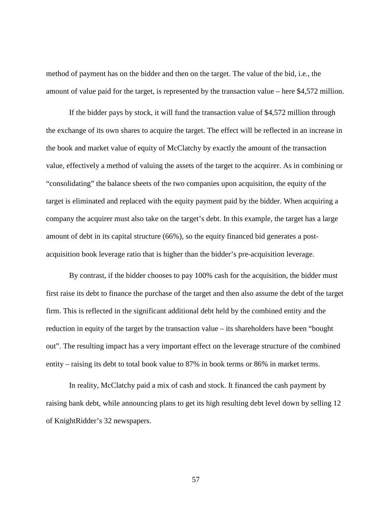method of payment has on the bidder and then on the target. The value of the bid, i.e., the amount of value paid for the target, is represented by the transaction value – here \$4,572 million.

If the bidder pays by stock, it will fund the transaction value of \$4,572 million through the exchange of its own shares to acquire the target. The effect will be reflected in an increase in the book and market value of equity of McClatchy by exactly the amount of the transaction value, effectively a method of valuing the assets of the target to the acquirer. As in combining or "consolidating" the balance sheets of the two companies upon acquisition, the equity of the target is eliminated and replaced with the equity payment paid by the bidder. When acquiring a company the acquirer must also take on the target's debt. In this example, the target has a large amount of debt in its capital structure (66%), so the equity financed bid generates a postacquisition book leverage ratio that is higher than the bidder's pre-acquisition leverage.

By contrast, if the bidder chooses to pay 100% cash for the acquisition, the bidder must first raise its debt to finance the purchase of the target and then also assume the debt of the target firm. This is reflected in the significant additional debt held by the combined entity and the reduction in equity of the target by the transaction value – its shareholders have been "bought out". The resulting impact has a very important effect on the leverage structure of the combined entity – raising its debt to total book value to 87% in book terms or 86% in market terms.

In reality, McClatchy paid a mix of cash and stock. It financed the cash payment by raising bank debt, while announcing plans to get its high resulting debt level down by selling 12 of KnightRidder's 32 newspapers.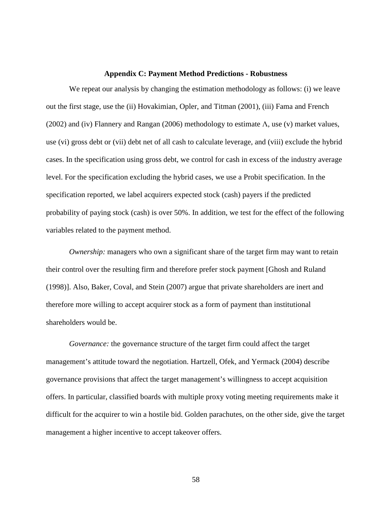### **Appendix C: Payment Method Predictions - Robustness**

We repeat our analysis by changing the estimation methodology as follows: (i) we leave out the first stage, use the (ii) Hovakimian, Opler, and Titman (2001), (iii) Fama and French (2002) and (iv) Flannery and Rangan (2006) methodology to estimate  $\Lambda$ , use (v) market values, use (vi) gross debt or (vii) debt net of all cash to calculate leverage, and (viii) exclude the hybrid cases. In the specification using gross debt, we control for cash in excess of the industry average level. For the specification excluding the hybrid cases, we use a Probit specification. In the specification reported, we label acquirers expected stock (cash) payers if the predicted probability of paying stock (cash) is over 50%. In addition, we test for the effect of the following variables related to the payment method.

*Ownership:* managers who own a significant share of the target firm may want to retain their control over the resulting firm and therefore prefer stock payment [Ghosh and Ruland (1998)]. Also, Baker, Coval, and Stein (2007) argue that private shareholders are inert and therefore more willing to accept acquirer stock as a form of payment than institutional shareholders would be.

*Governance:* the governance structure of the target firm could affect the target management's attitude toward the negotiation. Hartzell, Ofek, and Yermack (2004) describe governance provisions that affect the target management's willingness to accept acquisition offers. In particular, classified boards with multiple proxy voting meeting requirements make it difficult for the acquirer to win a hostile bid. Golden parachutes, on the other side, give the target management a higher incentive to accept takeover offers.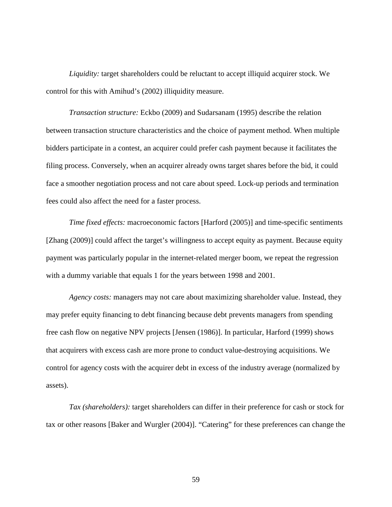*Liquidity:* target shareholders could be reluctant to accept illiquid acquirer stock. We control for this with Amihud's (2002) illiquidity measure.

*Transaction structure:* Eckbo (2009) and Sudarsanam (1995) describe the relation between transaction structure characteristics and the choice of payment method. When multiple bidders participate in a contest, an acquirer could prefer cash payment because it facilitates the filing process. Conversely, when an acquirer already owns target shares before the bid, it could face a smoother negotiation process and not care about speed. Lock-up periods and termination fees could also affect the need for a faster process.

*Time fixed effects:* macroeconomic factors [Harford (2005)] and time-specific sentiments [Zhang (2009)] could affect the target's willingness to accept equity as payment. Because equity payment was particularly popular in the internet-related merger boom, we repeat the regression with a dummy variable that equals 1 for the years between 1998 and 2001.

*Agency costs:* managers may not care about maximizing shareholder value. Instead, they may prefer equity financing to debt financing because debt prevents managers from spending free cash flow on negative NPV projects [Jensen (1986)]. In particular, Harford (1999) shows that acquirers with excess cash are more prone to conduct value-destroying acquisitions. We control for agency costs with the acquirer debt in excess of the industry average (normalized by assets).

*Tax (shareholders):* target shareholders can differ in their preference for cash or stock for tax or other reasons [Baker and Wurgler (2004)]. "Catering" for these preferences can change the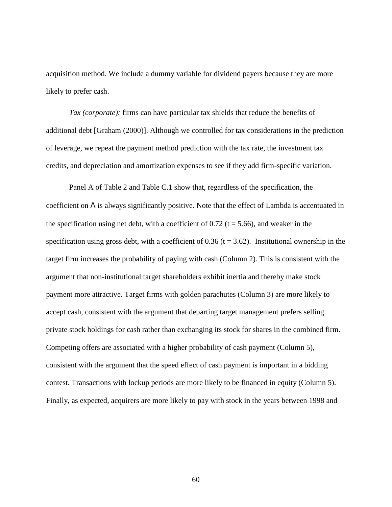acquisition method. We include a dummy variable for dividend payers because they are more likely to prefer cash.

*Tax (corporate):* firms can have particular tax shields that reduce the benefits of additional debt [Graham (2000)]. Although we controlled for tax considerations in the prediction of leverage, we repeat the payment method prediction with the tax rate, the investment tax credits, and depreciation and amortization expenses to see if they add firm-specific variation.

Panel A of Table 2 and Table C.1 show that, regardless of the specification, the coefficient on  $\Lambda$  is always significantly positive. Note that the effect of Lambda is accentuated in the specification using net debt, with a coefficient of 0.72 ( $t = 5.66$ ), and weaker in the specification using gross debt, with a coefficient of  $0.36$  (t = 3.62). Institutional ownership in the target firm increases the probability of paying with cash (Column 2). This is consistent with the argument that non-institutional target shareholders exhibit inertia and thereby make stock payment more attractive. Target firms with golden parachutes (Column 3) are more likely to accept cash, consistent with the argument that departing target management prefers selling private stock holdings for cash rather than exchanging its stock for shares in the combined firm. Competing offers are associated with a higher probability of cash payment (Column 5), consistent with the argument that the speed effect of cash payment is important in a bidding contest. Transactions with lockup periods are more likely to be financed in equity (Column 5). Finally, as expected, acquirers are more likely to pay with stock in the years between 1998 and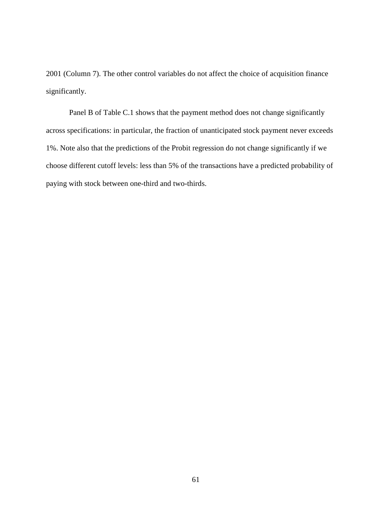2001 (Column 7). The other control variables do not affect the choice of acquisition finance significantly.

Panel B of Table C.1 shows that the payment method does not change significantly across specifications: in particular, the fraction of unanticipated stock payment never exceeds 1%. Note also that the predictions of the Probit regression do not change significantly if we choose different cutoff levels: less than 5% of the transactions have a predicted probability of paying with stock between one-third and two-thirds.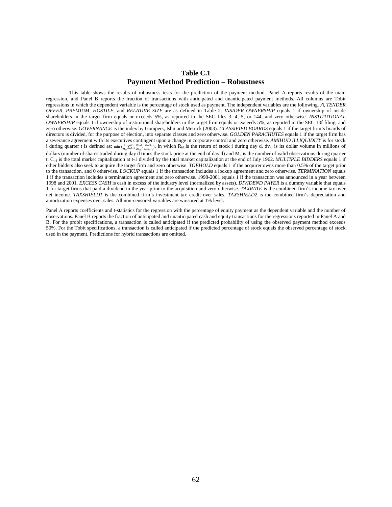## **Table C.1 Payment Method Prediction – Robustness**

This table shows the results of robustness tests for the prediction of the payment method. Panel A reports results of the main regression, and Panel B reports the fraction of transactions with anticipated and unanticipated payment methods. All columns are Tobit regressions in which the dependent variable is the percentage of stock used as payment. The independent variables are the following. Λ, *TENDER OFFER, PREMIUM, HOSTILE,* and *RELATIVE SIZE* are as defined in Table 2. *INSIDER OWNERSHIP* equals 1 if ownership of inside shareholders in the target firm equals or exceeds 5%, as reported in the SEC files 3, 4, 5, or 144, and zero otherwise. *INSTITUTIONAL OWNERSHIP* equals 1 if ownership of institutional shareholders in the target firm equals or exceeds 5%, as reported in the SEC 13f filing, and zero otherwise. *GOVERNANCE* is the index by Gompers, Ishii and Metrick (2003). *CLASSIFIED BOARDS* equals 1 if the target firm's boards of directors is divided, for the purpose of election, into separate classes and zero otherwise. *GOLDEN PARACHUTES* equals 1 if the target firm has a severance agreement with its executives contingent upon a change in corporate control and zero otherwise. *AMIHUD ILLIQUIDITY* is for stock i during quarter t is defined as:  $\min_{M_{it}} \sum_{d=1}^{M_{it}} \sum_{d\nu_{id}}^{M_{it}} \sum_{s,s \in r-1}^{q}$ , in which  $R_{id}$  is the return of stock i during day d, dv<sub>id</sub> is its dollar volume in millions of dollars (number of shares traded during day d times the stock price at the end of day d) and M<sub>it</sub> is the number of valid observations during quarter t.  $C_{t-1}$  is the total market capitalization at t-1 divided by the total market capitalization at the end of July 1962. *MULTIPLE BIDDERS* equals 1 if other bidders also seek to acquire the target firm and zero otherwise. *TOEHOLD* equals 1 if the acquirer owns more than 0.5% of the target prior to the transaction, and 0 otherwise. *LOCKUP* equals 1 if the transaction includes a lockup agreement and zero otherwise. *TERMINATION* equals 1 if the transaction includes a termination agreement and zero otherwise. 1998-2001 equals 1 if the transaction was announced in a year between 1998 and 2001. *EXCESS CASH* is cash in excess of the industry level (normalized by assets). *DIVIDEND PAYER* is a dummy variable that equals 1 for target firms that paid a dividend in the year prior to the acquisition and zero otherwise. *TAXRATE* is the combined firm's income tax over net income. *TAXSHIELD1* is the combined firm's investment tax credit over sales. *TAXSHIELD2* is the combined firm's depreciation and amortization expenses over sales. All non-censored variables are winsored at 1% level.

Panel A reports coefficients and t-statistics for the regression with the percentage of equity payment as the dependent variable and the number of observations. Panel B reports the fraction of anticipated and unanticipated cash and equity transactions for the regressions reported in Panel A and B. For the probit specifications, a transaction is called anticipated if the predicted probability of using the observed payment method exceeds 50%. For the Tobit specifications, a transaction is called anticipated if the predicted percentage of stock equals the observed percentage of stock used in the payment. Predictions for hybrid transactions are omitted.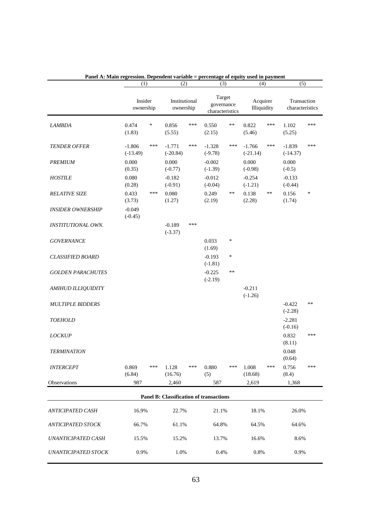|                            | (1)                    |        | (2)                        |     | (3)                                            |     | (4)                     |     | (5)                            |     |
|----------------------------|------------------------|--------|----------------------------|-----|------------------------------------------------|-----|-------------------------|-----|--------------------------------|-----|
|                            | Insider<br>ownership   |        | Institutional<br>ownership |     | Target<br>governance<br>characteristics        |     | Acquirer<br>Illiquidity |     | Transaction<br>characteristics |     |
| <b>LAMBDA</b>              | 0.474<br>(1.83)        | $\ast$ | 0.856<br>(5.55)            | *** | 0.550<br>(2.15)                                | **  | 0.822<br>(5.46)         | *** | 1.102<br>(5.25)                | *** |
| <b>TENDER OFFER</b>        | $-1.806$<br>$(-13.49)$ | ***    | $-1.771$<br>$(-20.84)$     | *** | $-1.328$<br>$(-9.78)$                          | *** | $-1.766$<br>$(-21.14)$  | *** | $-1.839$<br>$(-14.37)$         | *** |
| PREMIUM                    | 0.000<br>(0.35)        |        | 0.000<br>$(-0.77)$         |     | $-0.002$<br>$(-1.39)$                          |     | 0.000<br>$(-0.98)$      |     | 0.000<br>$(-0.5)$              |     |
| <b>HOSTILE</b>             | 0.080<br>(0.28)        |        | $-0.182$<br>$(-0.91)$      |     | $-0.012$<br>$(-0.04)$                          |     | $-0.254$<br>$(-1.21)$   |     | $-0.133$<br>$(-0.44)$          |     |
| <b>RELATIVE SIZE</b>       | 0.433<br>(3.73)        | ***    | 0.080<br>(1.27)            |     | 0.249<br>(2.19)                                | **  | 0.138<br>(2.28)         | **  | 0.156<br>(1.74)                | *   |
| <b>INSIDER OWNERSHIP</b>   | $-0.049$<br>$(-0.45)$  |        |                            |     |                                                |     |                         |     |                                |     |
| INSTITUTIONAL OWN.         |                        |        | $-0.189$<br>$(-3.37)$      | *** |                                                |     |                         |     |                                |     |
| <b>GOVERNANCE</b>          |                        |        |                            |     | 0.033<br>(1.69)                                | *   |                         |     |                                |     |
| <b>CLASSIFIED BOARD</b>    |                        |        |                            |     | $-0.193$<br>$(-1.81)$                          | ∗   |                         |     |                                |     |
| <b>GOLDEN PARACHUTES</b>   |                        |        |                            |     | $-0.225$<br>$(-2.19)$                          | **  |                         |     |                                |     |
| <b>AMIHUD ILLIQUIDITY</b>  |                        |        |                            |     |                                                |     | $-0.211$<br>$(-1.26)$   |     |                                |     |
| <b>MULTIPLE BIDDERS</b>    |                        |        |                            |     |                                                |     |                         |     | $-0.422$<br>$(-2.28)$          | **  |
| <b>TOEHOLD</b>             |                        |        |                            |     |                                                |     |                         |     | $-2.281$<br>$(-0.16)$          |     |
| <b>LOCKUP</b>              |                        |        |                            |     |                                                |     |                         |     | 0.832<br>(8.11)                | *** |
| <b>TERMINATION</b>         |                        |        |                            |     |                                                |     |                         |     | 0.048<br>(0.64)                |     |
| <b>INTERCEPT</b>           | 0.869<br>(6.84)        | ***    | 1.128<br>(16.76)           | *** | 0.880<br>(5)                                   | *** | 1.008<br>(18.68)        | *** | 0.756<br>(8.4)                 | *** |
| Observations               | 987                    |        | 2,460                      |     | 587                                            |     | 2,619                   |     | 1,368                          |     |
|                            |                        |        |                            |     | <b>Panel B: Classification of transactions</b> |     |                         |     |                                |     |
| <b>ANTICIPATED CASH</b>    | 16.9%                  |        | 22.7%                      |     | 21.1%                                          |     | 18.1%                   |     | 26.0%                          |     |
| <b>ANTICIPATED STOCK</b>   | 66.7%                  |        | 61.1%                      |     | 64.8%                                          |     | 64.5%                   |     | 64.6%                          |     |
| UNANTICIPATED CASH         | 15.5%                  |        | 15.2%                      |     | 13.7%                                          |     | 16.6%                   |     | 8.6%                           |     |
| <b>UNANTICIPATED STOCK</b> | 0.9%                   |        | 1.0%                       |     | 0.4%                                           |     | 0.8%                    |     | 0.9%                           |     |

**Panel A: Main regression. Dependent variable = percentage of equity used in payment**